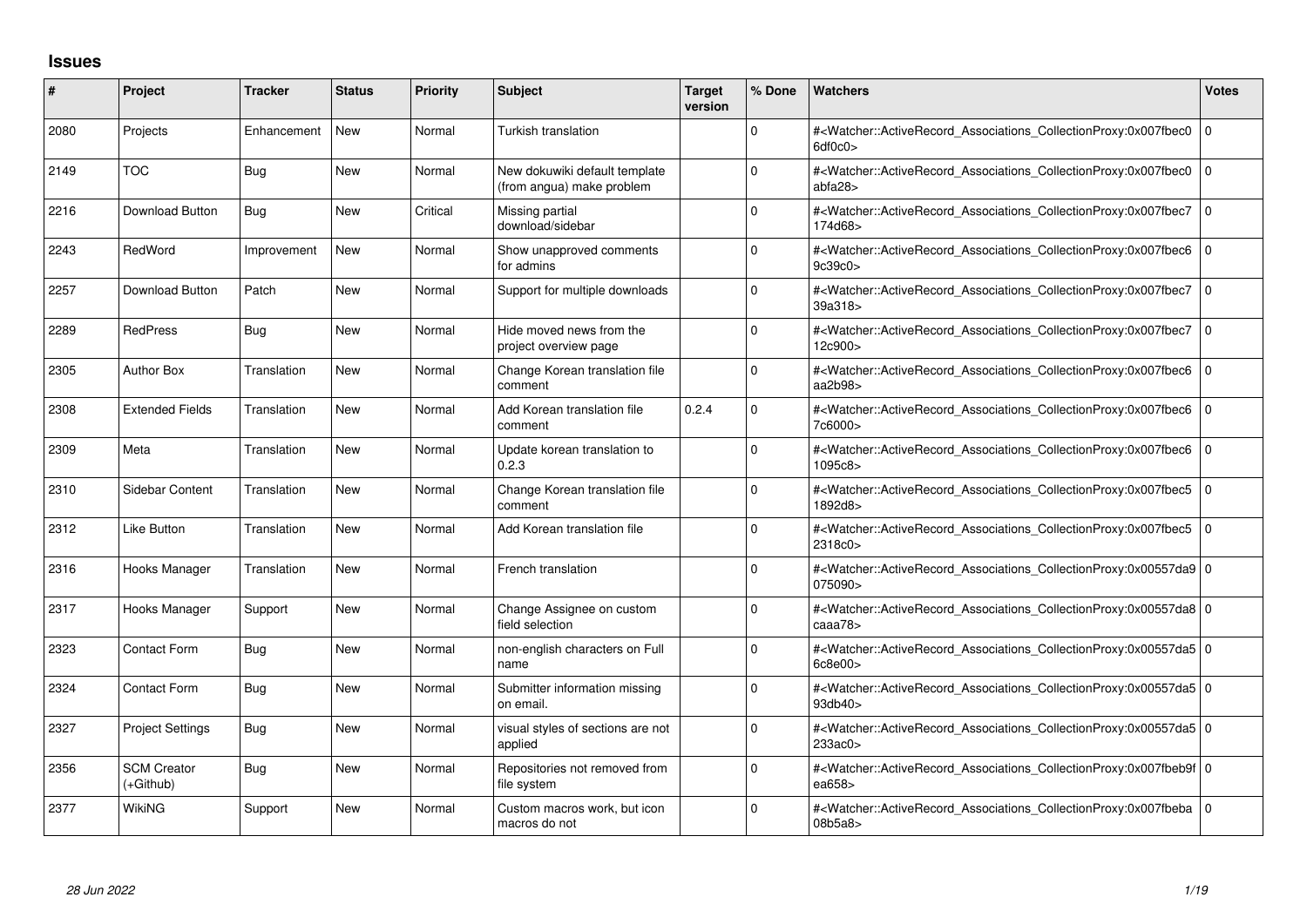## **Issues**

| #    | Project                         | <b>Tracker</b> | <b>Status</b> | <b>Priority</b> | <b>Subject</b>                                             | <b>Target</b><br>version | % Done   | <b>Watchers</b>                                                                                                                                          | <b>Votes</b> |
|------|---------------------------------|----------------|---------------|-----------------|------------------------------------------------------------|--------------------------|----------|----------------------------------------------------------------------------------------------------------------------------------------------------------|--------------|
| 2080 | Projects                        | Enhancement    | <b>New</b>    | Normal          | Turkish translation                                        |                          | 0        | # <watcher::activerecord associations="" collectionproxy:0x007fbec0<br="">6df0c0</watcher::activerecord>                                                 | l O          |
| 2149 | <b>TOC</b>                      | <b>Bug</b>     | <b>New</b>    | Normal          | New dokuwiki default template<br>(from angua) make problem |                          | $\Omega$ | # <watcher::activerecord associations="" collectionproxy:0x007fbec0<br="">abfa28&gt;</watcher::activerecord>                                             | l O          |
| 2216 | Download Button                 | Bug            | <b>New</b>    | Critical        | Missing partial<br>download/sidebar                        |                          | O        | # <watcher::activerecord_associations_collectionproxy:0x007fbec7<br>174d68&gt;</watcher::activerecord_associations_collectionproxy:0x007fbec7<br>        | l O          |
| 2243 | RedWord                         | Improvement    | <b>New</b>    | Normal          | Show unapproved comments<br>for admins                     |                          | O        | # <watcher::activerecord associations="" collectionproxy:0x007fbec6<br="">9c39c0&gt;</watcher::activerecord>                                             | I٥           |
| 2257 | Download Button                 | Patch          | <b>New</b>    | Normal          | Support for multiple downloads                             |                          | 0        | # <watcher::activerecord_associations_collectionproxy:0x007fbec7<br>39a318&gt;</watcher::activerecord_associations_collectionproxy:0x007fbec7<br>        | ۱٥           |
| 2289 | <b>RedPress</b>                 | Bug            | <b>New</b>    | Normal          | Hide moved news from the<br>project overview page          |                          | O        | # <watcher::activerecord_associations_collectionproxy:0x007fbec7<br>12c900&gt;</watcher::activerecord_associations_collectionproxy:0x007fbec7<br>        | l O          |
| 2305 | <b>Author Box</b>               | Translation    | <b>New</b>    | Normal          | Change Korean translation file<br>comment                  |                          | $\Omega$ | # <watcher::activerecord associations="" collectionproxy:0x007fbec6<br="">aa2b98&gt;</watcher::activerecord>                                             | l O          |
| 2308 | <b>Extended Fields</b>          | Translation    | <b>New</b>    | Normal          | Add Korean translation file<br>comment                     | 0.2.4                    | $\Omega$ | # <watcher::activerecord_associations_collectionproxy:0x007fbec6<br>7c6000&gt;</watcher::activerecord_associations_collectionproxy:0x007fbec6<br>        | 10           |
| 2309 | Meta                            | Translation    | <b>New</b>    | Normal          | Update korean translation to<br>0.2.3                      |                          | $\Omega$ | # <watcher::activerecord_associations_collectionproxy:0x007fbec6<br>1095c8&gt;</watcher::activerecord_associations_collectionproxy:0x007fbec6<br>        | l 0          |
| 2310 | <b>Sidebar Content</b>          | Translation    | <b>New</b>    | Normal          | Change Korean translation file<br>comment                  |                          | $\Omega$ | # <watcher::activerecord_associations_collectionproxy:0x007fbec5<br>1892d8&gt;</watcher::activerecord_associations_collectionproxy:0x007fbec5<br>        | l o          |
| 2312 | Like Button                     | Translation    | <b>New</b>    | Normal          | Add Korean translation file                                |                          | $\Omega$ | # <watcher::activerecord_associations_collectionproxy:0x007fbec5<br>2318c0&gt;</watcher::activerecord_associations_collectionproxy:0x007fbec5<br>        | 10           |
| 2316 | Hooks Manager                   | Translation    | <b>New</b>    | Normal          | French translation                                         |                          | $\Omega$ | # <watcher::activerecord_associations_collectionproxy:0x00557da9 0<br="">075090&gt;</watcher::activerecord_associations_collectionproxy:0x00557da9>      |              |
| 2317 | Hooks Manager                   | Support        | <b>New</b>    | Normal          | Change Assignee on custom<br>field selection               |                          | $\Omega$ | # <watcher::activerecord_associations_collectionproxy:0x00557da8 0<br="">caaa78&gt;</watcher::activerecord_associations_collectionproxy:0x00557da8>      |              |
| 2323 | Contact Form                    | Bug            | <b>New</b>    | Normal          | non-english characters on Full<br>name                     |                          | $\Omega$ | # <watcher::activerecord_associations_collectionproxy:0x00557da5 0<br=""  ="">6c8e00&gt;</watcher::activerecord_associations_collectionproxy:0x00557da5> |              |
| 2324 | <b>Contact Form</b>             | Bug            | <b>New</b>    | Normal          | Submitter information missing<br>on email.                 |                          | O        | # <watcher::activerecord_associations_collectionproxy:0x00557da5 0<br="">93db40&gt;</watcher::activerecord_associations_collectionproxy:0x00557da5>      |              |
| 2327 | <b>Project Settings</b>         | <b>Bug</b>     | <b>New</b>    | Normal          | visual styles of sections are not<br>applied               |                          | $\Omega$ | # <watcher::activerecord_associations_collectionproxy:0x00557da5 0<br="">233ac0&gt;</watcher::activerecord_associations_collectionproxy:0x00557da5>      |              |
| 2356 | <b>SCM Creator</b><br>(+Github) | <b>Bug</b>     | <b>New</b>    | Normal          | Repositories not removed from<br>file system               |                          | $\Omega$ | # <watcher::activerecord_associations_collectionproxy:0x007fbeb9f 0<br="">ea658&gt;</watcher::activerecord_associations_collectionproxy:0x007fbeb9f>     |              |
| 2377 | WikiNG                          | Support        | <b>New</b>    | Normal          | Custom macros work, but icon<br>macros do not              |                          | $\Omega$ | # <watcher::activerecord_associations_collectionproxy:0x007fbeba 0<br=""  ="">08b5a8&gt;</watcher::activerecord_associations_collectionproxy:0x007fbeba> |              |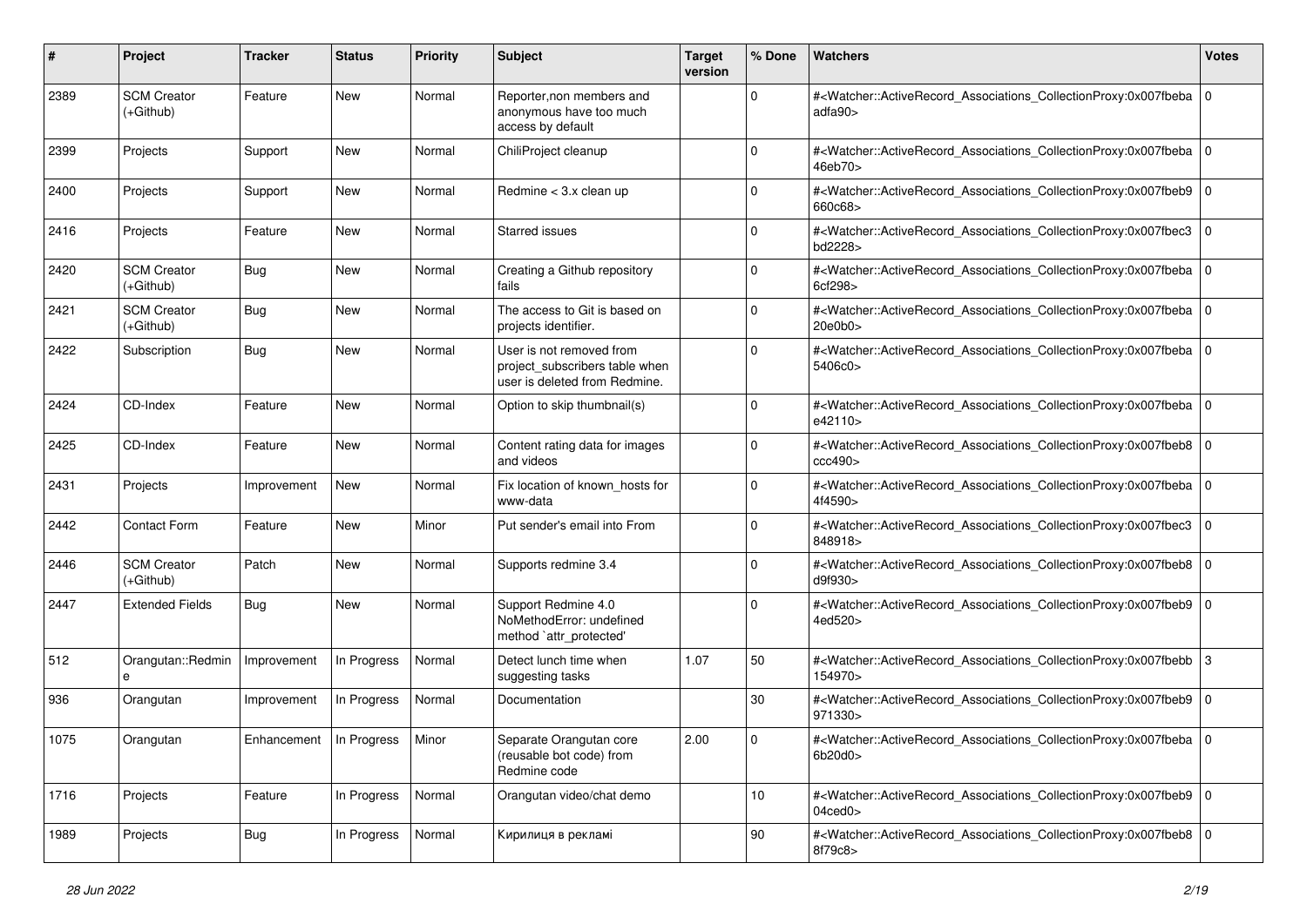| #    | Project                           | <b>Tracker</b>                    | <b>Status</b> | <b>Priority</b> | Subject                                                                                     | <b>Target</b><br>version | % Done      | <b>Watchers</b>                                                                                                                                                           | <b>Votes</b> |
|------|-----------------------------------|-----------------------------------|---------------|-----------------|---------------------------------------------------------------------------------------------|--------------------------|-------------|---------------------------------------------------------------------------------------------------------------------------------------------------------------------------|--------------|
| 2389 | <b>SCM Creator</b><br>(+Github)   | Feature                           | New           | Normal          | Reporter, non members and<br>anonymous have too much<br>access by default                   |                          | $\mathbf 0$ | # <watcher::activerecord_associations_collectionproxy:0x007fbeba 0<br=""  ="">adfa90&gt;</watcher::activerecord_associations_collectionproxy:0x007fbeba>                  |              |
| 2399 | Projects                          | Support                           | <b>New</b>    | Normal          | ChiliProject cleanup                                                                        |                          | $\mathbf 0$ | # <watcher::activerecord_associations_collectionproxy:0x007fbeba 0<br=""  ="">46eb70&gt;</watcher::activerecord_associations_collectionproxy:0x007fbeba>                  |              |
| 2400 | Projects                          | Support                           | New           | Normal          | Redmine $<$ 3.x clean up                                                                    |                          | $\Omega$    | # <watcher::activerecord_associations_collectionproxy:0x007fbeb9 0<br="">660c68&gt;</watcher::activerecord_associations_collectionproxy:0x007fbeb9>                       |              |
| 2416 | Projects                          | Feature                           | <b>New</b>    | Normal          | Starred issues                                                                              |                          | $\Omega$    | # <watcher::activerecord_associations_collectionproxy:0x007fbec3<br>bd2228&gt;</watcher::activerecord_associations_collectionproxy:0x007fbec3<br>                         | 0            |
| 2420 | <b>SCM Creator</b><br>(+Github)   | <b>Bug</b>                        | New           | Normal          | Creating a Github repository<br>fails                                                       |                          | $\mathbf 0$ | # <watcher::activerecord_associations_collectionproxy:0x007fbeba 0<br=""  ="">6cf298&gt;</watcher::activerecord_associations_collectionproxy:0x007fbeba>                  |              |
| 2421 | <b>SCM Creator</b><br>(+Github)   | <b>Bug</b>                        | <b>New</b>    | Normal          | The access to Git is based on<br>projects identifier.                                       |                          | $\Omega$    | # <watcher::activerecord_associations_collectionproxy:0x007fbeba 0<br=""  ="">20e0b0z</watcher::activerecord_associations_collectionproxy:0x007fbeba>                     |              |
| 2422 | Subscription                      | <b>Bug</b>                        | New           | Normal          | User is not removed from<br>project_subscribers table when<br>user is deleted from Redmine. |                          | $\Omega$    | # <watcher::activerecord_associations_collectionproxy:0x007fbeba 0<br=""  ="">5406c0&gt;</watcher::activerecord_associations_collectionproxy:0x007fbeba>                  |              |
| 2424 | CD-Index                          | Feature                           | New           | Normal          | Option to skip thumbnail(s)                                                                 |                          | $\mathbf 0$ | # <watcher::activerecord_associations_collectionproxy:0x007fbeba 0<br=""  ="">e42110&gt;</watcher::activerecord_associations_collectionproxy:0x007fbeba>                  |              |
| 2425 | CD-Index                          | Feature                           | <b>New</b>    | Normal          | Content rating data for images<br>and videos                                                |                          | $\Omega$    | # <watcher::activerecord_associations_collectionproxy:0x007fbeb8 0<br="">ccc490&gt;</watcher::activerecord_associations_collectionproxy:0x007fbeb8>                       |              |
| 2431 | Projects                          | Improvement                       | New           | Normal          | Fix location of known_hosts for<br>www-data                                                 |                          | $\mathbf 0$ | # <watcher::activerecord_associations_collectionproxy:0x007fbeba 0<br=""  ="">4f4590&gt;</watcher::activerecord_associations_collectionproxy:0x007fbeba>                  |              |
| 2442 | <b>Contact Form</b>               | Feature                           | <b>New</b>    | Minor           | Put sender's email into From                                                                |                          | $\Omega$    | # <watcher::activerecord_associations_collectionproxy:0x007fbec3<br>848918&gt;</watcher::activerecord_associations_collectionproxy:0x007fbec3<br>                         | l O          |
| 2446 | <b>SCM Creator</b><br>$(+Github)$ | Patch                             | New           | Normal          | Supports redmine 3.4                                                                        |                          | $\Omega$    | # <watcher::activerecord_associations_collectionproxy:0x007fbeb8<br>d9f930&gt;</watcher::activerecord_associations_collectionproxy:0x007fbeb8<br>                         | l O          |
| 2447 | <b>Extended Fields</b>            | Bug                               | New           | Normal          | Support Redmine 4.0<br>NoMethodError: undefined<br>method `attr_protected'                  |                          | $\Omega$    | # <watcher::activerecord_associations_collectionproxy:0x007fbeb9 0<br=""  ="">4ed520&gt;</watcher::activerecord_associations_collectionproxy:0x007fbeb9>                  |              |
| 512  | Orangutan::Redmin<br>е            | Improvement                       | In Progress   | Normal          | Detect lunch time when<br>suggesting tasks                                                  | 1.07                     | 50          | # <watcher::activerecord_associations_collectionproxy:0x007fbebb 3<br="">154970&gt;</watcher::activerecord_associations_collectionproxy:0x007fbebb>                       |              |
| 936  | Orangutan                         | Improvement                       | In Progress   | Normal          | Documentation                                                                               |                          | 30          | # <watcher::activerecord_associations_collectionproxy:0x007fbeb9 0<br="">971330&gt;</watcher::activerecord_associations_collectionproxy:0x007fbeb9>                       |              |
| 1075 | Orangutan                         | Enhancement   In Progress   Minor |               |                 | Separate Orangutan core<br>(reusable bot code) from<br>Redmine code                         | 2.00                     |             | # <watcher::activerecord_associations_collectionproxy:0x007fbeba 0<br="">6b20d0&gt;</watcher::activerecord_associations_collectionproxy:0x007fbeba>                       |              |
| 1716 | Projects                          | Feature                           | In Progress   | Normal          | Orangutan video/chat demo                                                                   |                          | 10          | # <watcher::activerecord_associations_collectionproxy:0x007fbeb9 0<br="">04<sub>ced</sub>0<sub>&gt;</sub></watcher::activerecord_associations_collectionproxy:0x007fbeb9> |              |
| 1989 | Projects                          | Bug                               | In Progress   | Normal          | Кирилиця в рекламі                                                                          |                          | 90          | # <watcher::activerecord 0<br="" associations="" collectionproxy:0x007fbeb8="">8f79c8&gt;</watcher::activerecord>                                                         |              |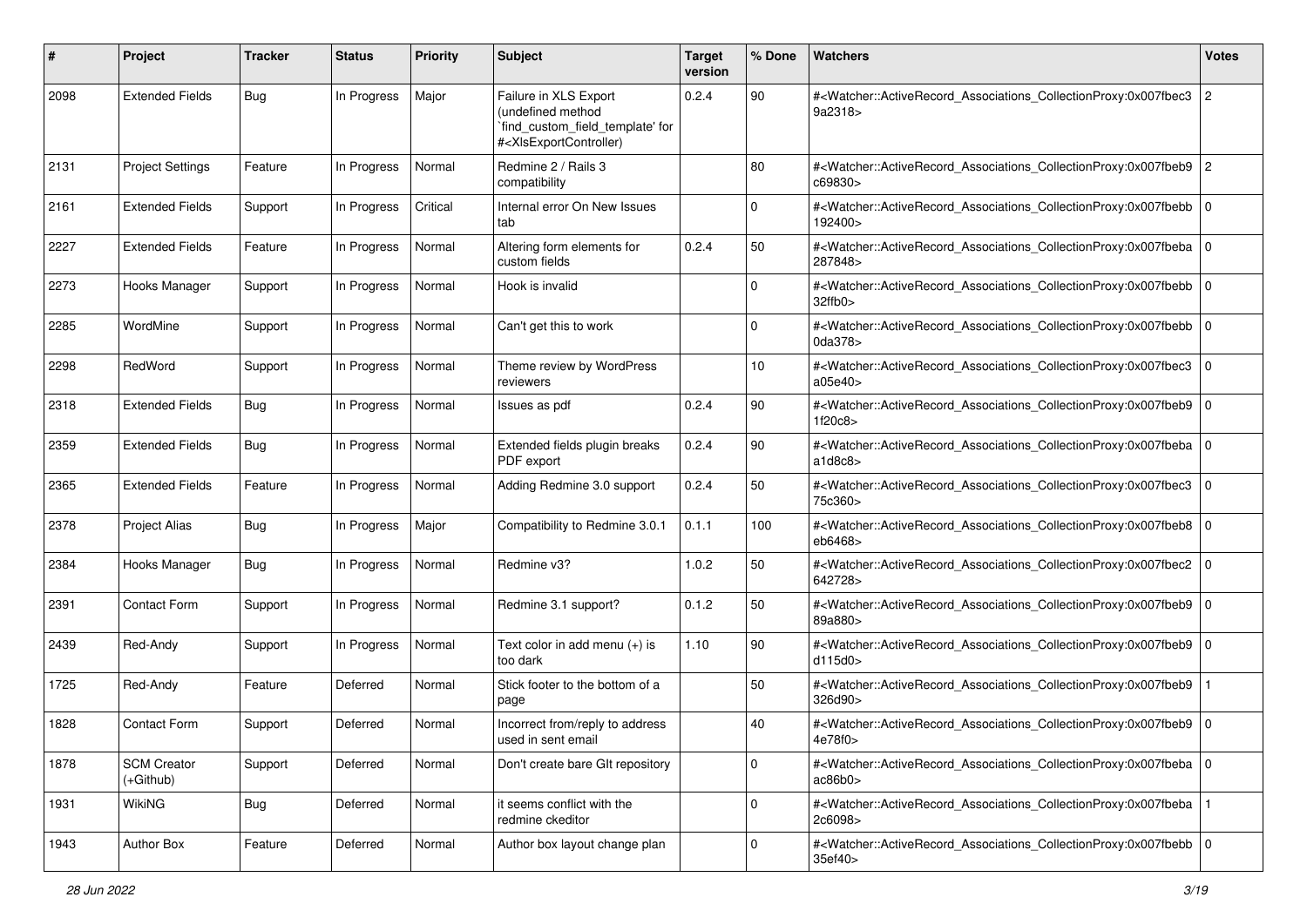| #    | Project                           | <b>Tracker</b> | <b>Status</b> | <b>Priority</b> | Subject                                                                                                                                                                                                                                                                                                                                                       | <b>Target</b><br>version | % Done      | <b>Watchers</b>                                                                                                                                          | <b>Votes</b>   |
|------|-----------------------------------|----------------|---------------|-----------------|---------------------------------------------------------------------------------------------------------------------------------------------------------------------------------------------------------------------------------------------------------------------------------------------------------------------------------------------------------------|--------------------------|-------------|----------------------------------------------------------------------------------------------------------------------------------------------------------|----------------|
| 2098 | <b>Extended Fields</b>            | Bug            | In Progress   | Major           | Failure in XLS Export<br>(undefined method<br>`find_custom_field_template' for<br># <xlsexportcontroller)< td=""><td>0.2.4</td><td>90</td><td>#<watcher::activerecord_associations_collectionproxy:0x007fbec3<br>9a2318&gt;</watcher::activerecord_associations_collectionproxy:0x007fbec3<br></td><td><math>\overline{c}</math></td></xlsexportcontroller)<> | 0.2.4                    | 90          | # <watcher::activerecord_associations_collectionproxy:0x007fbec3<br>9a2318&gt;</watcher::activerecord_associations_collectionproxy:0x007fbec3<br>        | $\overline{c}$ |
| 2131 | <b>Project Settings</b>           | Feature        | In Progress   | Normal          | Redmine 2 / Rails 3<br>compatibility                                                                                                                                                                                                                                                                                                                          |                          | 80          | # <watcher::activerecord_associations_collectionproxy:0x007fbeb9 2<br="">c69830&gt;</watcher::activerecord_associations_collectionproxy:0x007fbeb9>      |                |
| 2161 | <b>Extended Fields</b>            | Support        | In Progress   | Critical        | Internal error On New Issues<br>tab                                                                                                                                                                                                                                                                                                                           |                          | $\mathbf 0$ | # <watcher::activerecord_associations_collectionproxy:0x007fbebb<br>192400&gt;</watcher::activerecord_associations_collectionproxy:0x007fbebb<br>        | l O            |
| 2227 | <b>Extended Fields</b>            | Feature        | In Progress   | Normal          | Altering form elements for<br>custom fields                                                                                                                                                                                                                                                                                                                   | 0.2.4                    | 50          | # <watcher::activerecord_associations_collectionproxy:0x007fbeba 0<br="">287848&gt;</watcher::activerecord_associations_collectionproxy:0x007fbeba>      |                |
| 2273 | Hooks Manager                     | Support        | In Progress   | Normal          | Hook is invalid                                                                                                                                                                                                                                                                                                                                               |                          | $\Omega$    | # <watcher::activerecord_associations_collectionproxy:0x007fbebb 0<br=""  ="">32ffb0&gt;</watcher::activerecord_associations_collectionproxy:0x007fbebb> |                |
| 2285 | WordMine                          | Support        | In Progress   | Normal          | Can't get this to work                                                                                                                                                                                                                                                                                                                                        |                          | $\Omega$    | # <watcher::activerecord_associations_collectionproxy:0x007fbebb<br>0da378&gt;</watcher::activerecord_associations_collectionproxy:0x007fbebb<br>        | l 0            |
| 2298 | RedWord                           | Support        | In Progress   | Normal          | Theme review by WordPress<br>reviewers                                                                                                                                                                                                                                                                                                                        |                          | 10          | # <watcher::activerecord_associations_collectionproxy:0x007fbec3<br>a05e40&gt;</watcher::activerecord_associations_collectionproxy:0x007fbec3<br>        | $\mathbf 0$    |
| 2318 | <b>Extended Fields</b>            | Bug            | In Progress   | Normal          | Issues as pdf                                                                                                                                                                                                                                                                                                                                                 | 0.2.4                    | 90          | # <watcher::activerecord_associations_collectionproxy:0x007fbeb9 0<br="">1f20c8&gt;</watcher::activerecord_associations_collectionproxy:0x007fbeb9>      |                |
| 2359 | <b>Extended Fields</b>            | Bug            | In Progress   | Normal          | Extended fields plugin breaks<br>PDF export                                                                                                                                                                                                                                                                                                                   | 0.2.4                    | 90          | # <watcher::activerecord_associations_collectionproxy:0x007fbeba<br>a1d8c8</watcher::activerecord_associations_collectionproxy:0x007fbeba<br>            | $\mathbf 0$    |
| 2365 | <b>Extended Fields</b>            | Feature        | In Progress   | Normal          | Adding Redmine 3.0 support                                                                                                                                                                                                                                                                                                                                    | 0.2.4                    | 50          | # <watcher::activerecord_associations_collectionproxy:0x007fbec3<br>75c360&gt;</watcher::activerecord_associations_collectionproxy:0x007fbec3<br>        | $\Omega$       |
| 2378 | <b>Project Alias</b>              | <b>Bug</b>     | In Progress   | Major           | Compatibility to Redmine 3.0.1                                                                                                                                                                                                                                                                                                                                | 0.1.1                    | 100         | # <watcher::activerecord_associations_collectionproxy:0x007fbeb8 0<br=""  ="">eb6468&gt;</watcher::activerecord_associations_collectionproxy:0x007fbeb8> |                |
| 2384 | Hooks Manager                     | Bug            | In Progress   | Normal          | Redmine v3?                                                                                                                                                                                                                                                                                                                                                   | 1.0.2                    | 50          | # <watcher::activerecord_associations_collectionproxy:0x007fbec2  <br="">642728&gt;</watcher::activerecord_associations_collectionproxy:0x007fbec2>      | l O            |
| 2391 | <b>Contact Form</b>               | Support        | In Progress   | Normal          | Redmine 3.1 support?                                                                                                                                                                                                                                                                                                                                          | 0.1.2                    | 50          | # <watcher::activerecord_associations_collectionproxy:0x007fbeb9 0<br="">89a880&gt;</watcher::activerecord_associations_collectionproxy:0x007fbeb9>      |                |
| 2439 | Red-Andy                          | Support        | In Progress   | Normal          | Text color in add menu $(+)$ is<br>too dark                                                                                                                                                                                                                                                                                                                   | 1.10                     | 90          | # <watcher::activerecord_associations_collectionproxy:0x007fbeb9 0<br="">d115d0</watcher::activerecord_associations_collectionproxy:0x007fbeb9>          |                |
| 1725 | Red-Andy                          | Feature        | Deferred      | Normal          | Stick footer to the bottom of a<br>page                                                                                                                                                                                                                                                                                                                       |                          | 50          | # <watcher::activerecord_associations_collectionproxy:0x007fbeb9<br>326d90&gt;</watcher::activerecord_associations_collectionproxy:0x007fbeb9<br>        |                |
| 1828 | <b>Contact Form</b>               | Support        | Deferred      | Normal          | Incorrect from/reply to address<br>used in sent email                                                                                                                                                                                                                                                                                                         |                          | 40          | # <watcher::activerecord_associations_collectionproxy:0x007fbeb9 0<br=""  ="">4e78f0&gt;</watcher::activerecord_associations_collectionproxy:0x007fbeb9> |                |
| 1878 | <b>SCM Creator</b><br>$(+Github)$ | Support        | Deferred      | Normal          | Don't create bare GIt repository                                                                                                                                                                                                                                                                                                                              |                          | $\mathbf 0$ | # <watcher::activerecord 0<br="" associations="" collectionproxy:0x007fbeba="">ac86b0</watcher::activerecord>                                            |                |
| 1931 | <b>WikiNG</b>                     | <b>Bug</b>     | Deferred      | Normal          | it seems conflict with the<br>redmine ckeditor                                                                                                                                                                                                                                                                                                                |                          | $\mathbf 0$ | # <watcher::activerecord_associations_collectionproxy:0x007fbeba<br>2c6098&gt;</watcher::activerecord_associations_collectionproxy:0x007fbeba<br>        |                |
| 1943 | Author Box                        | Feature        | Deferred      | Normal          | Author box layout change plan                                                                                                                                                                                                                                                                                                                                 |                          | $\mathbf 0$ | # <watcher::activerecord_associations_collectionproxy:0x007fbebb 0<br="">35ef40&gt;</watcher::activerecord_associations_collectionproxy:0x007fbebb>      |                |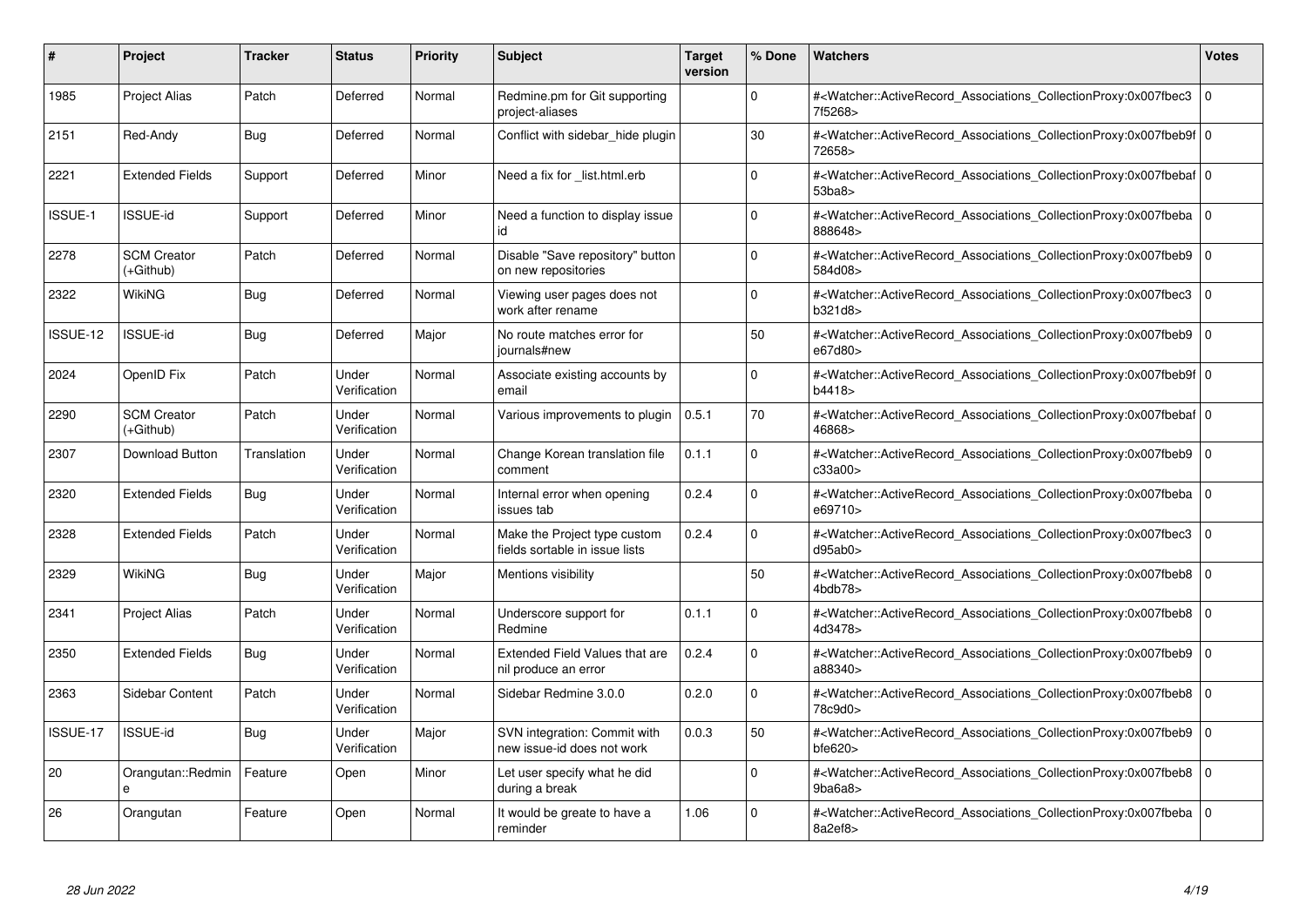| #        | Project                         | Tracker     | <b>Status</b>         | <b>Priority</b> | <b>Subject</b>                                                 | <b>Target</b><br>version | % Done   | <b>Watchers</b>                                                                                                                                           | <b>Votes</b>   |
|----------|---------------------------------|-------------|-----------------------|-----------------|----------------------------------------------------------------|--------------------------|----------|-----------------------------------------------------------------------------------------------------------------------------------------------------------|----------------|
| 1985     | <b>Project Alias</b>            | Patch       | Deferred              | Normal          | Redmine.pm for Git supporting<br>project-aliases               |                          | $\Omega$ | # <watcher::activerecord associations="" collectionproxy:0x007fbec3<br="">7f5268&gt;</watcher::activerecord>                                              | $\Omega$       |
| 2151     | Red-Andy                        | Bug         | Deferred              | Normal          | Conflict with sidebar hide plugin                              |                          | 30       | # <watcher::activerecord 0<br="" associations="" collectionproxy:0x007fbeb9f=""  ="">72658&gt;</watcher::activerecord>                                    |                |
| 2221     | <b>Extended Fields</b>          | Support     | Deferred              | Minor           | Need a fix for _list.html.erb                                  |                          | $\Omega$ | # <watcher::activerecord_associations_collectionproxy:0x007fbebaf 0<br=""  ="">53ba8&gt;</watcher::activerecord_associations_collectionproxy:0x007fbebaf> |                |
| ISSUE-1  | <b>ISSUE-id</b>                 | Support     | Deferred              | Minor           | Need a function to display issue<br>id                         |                          | $\Omega$ | # <watcher::activerecord_associations_collectionproxy:0x007fbeba 0<br=""  ="">888648&gt;</watcher::activerecord_associations_collectionproxy:0x007fbeba>  |                |
| 2278     | <b>SCM Creator</b><br>(+Github) | Patch       | Deferred              | Normal          | Disable "Save repository" button<br>on new repositories        |                          | $\Omega$ | # <watcher::activerecord_associations_collectionproxy:0x007fbeb9<br>584d08&gt;</watcher::activerecord_associations_collectionproxy:0x007fbeb9<br>         | $\mathbf 0$    |
| 2322     | <b>WikiNG</b>                   | Bug         | Deferred              | Normal          | Viewing user pages does not<br>work after rename               |                          | $\Omega$ | # <watcher::activerecord_associations_collectionproxy:0x007fbec3<br>b321d8&gt;</watcher::activerecord_associations_collectionproxy:0x007fbec3<br>         | $\overline{0}$ |
| ISSUE-12 | <b>ISSUE-id</b>                 | Bug         | Deferred              | Major           | No route matches error for<br>iournals#new                     |                          | 50       | # <watcher::activerecord associations="" collectionproxy:0x007fbeb9<br="">e67d80&gt;</watcher::activerecord>                                              | $\mathbf 0$    |
| 2024     | OpenID Fix                      | Patch       | Under<br>Verification | Normal          | Associate existing accounts by<br>email                        |                          | $\Omega$ | # <watcher::activerecord_associations_collectionproxy:0x007fbeb9f 0<br=""  ="">b4418&gt;</watcher::activerecord_associations_collectionproxy:0x007fbeb9f> |                |
| 2290     | <b>SCM Creator</b><br>(+Github) | Patch       | Under<br>Verification | Normal          | Various improvements to plugin                                 | 0.5.1                    | 70       | # <watcher::activerecord_associations_collectionproxy:0x007fbebaf 0<br=""  ="">46868&gt;</watcher::activerecord_associations_collectionproxy:0x007fbebaf> |                |
| 2307     | Download Button                 | Translation | Under<br>Verification | Normal          | Change Korean translation file<br>comment                      | 0.1.1                    | $\Omega$ | # <watcher::activerecord 0<br="" associations="" collectionproxy:0x007fbeb9=""  ="">c33a00&gt;</watcher::activerecord>                                    |                |
| 2320     | <b>Extended Fields</b>          | Bug         | Under<br>Verification | Normal          | Internal error when opening<br>issues tab                      | 0.2.4                    | $\Omega$ | # <watcher::activerecord_associations_collectionproxy:0x007fbeba 0<br=""  ="">e69710&gt;</watcher::activerecord_associations_collectionproxy:0x007fbeba>  |                |
| 2328     | <b>Extended Fields</b>          | Patch       | Under<br>Verification | Normal          | Make the Project type custom<br>fields sortable in issue lists | 0.2.4                    | $\Omega$ | # <watcher::activerecord_associations_collectionproxy:0x007fbec3 0<br="">d95ab0</watcher::activerecord_associations_collectionproxy:0x007fbec3>           |                |
| 2329     | WikiNG                          | Bug         | Under<br>Verification | Major           | Mentions visibility                                            |                          | 50       | # <watcher::activerecord 0<br="" associations="" collectionproxy:0x007fbeb8=""  =""><math>4</math>bdb<math>78</math></watcher::activerecord>              |                |
| 2341     | Project Alias                   | Patch       | Under<br>Verification | Normal          | Underscore support for<br>Redmine                              | 0.1.1                    | $\Omega$ | # <watcher::activerecord_associations_collectionproxy:0x007fbeb8 0<br="">4d3478&gt;</watcher::activerecord_associations_collectionproxy:0x007fbeb8>       |                |
| 2350     | <b>Extended Fields</b>          | Bug         | Under<br>Verification | Normal          | Extended Field Values that are<br>nil produce an error         | 0.2.4                    | $\Omega$ | # <watcher::activerecord 0<br="" associations="" collectionproxy:0x007fbeb9=""  ="">a88340&gt;</watcher::activerecord>                                    |                |
| 2363     | <b>Sidebar Content</b>          | Patch       | Under<br>Verification | Normal          | Sidebar Redmine 3.0.0                                          | 0.2.0                    | $\Omega$ | # <watcher::activerecord_associations_collectionproxy:0x007fbeb8 0<br=""  ="">78c9d0&gt;</watcher::activerecord_associations_collectionproxy:0x007fbeb8>  |                |
| ISSUE-17 | <b>ISSUE-id</b>                 | Bug         | Under<br>Verification | Major           | SVN integration: Commit with<br>new issue-id does not work     | 0.0.3                    | 50       | # <watcher::activerecord_associations_collectionproxy:0x007fbeb9 0<br=""  ="">bfe620</watcher::activerecord_associations_collectionproxy:0x007fbeb9>      |                |
| 20       | Orangutan::Redmin<br>e          | Feature     | Open                  | Minor           | Let user specify what he did<br>during a break                 |                          | $\Omega$ | # <watcher::activerecord 0<br="" associations="" collectionproxy:0x007fbeb8=""  ="">9ba6a8</watcher::activerecord>                                        |                |
| 26       | Orangutan                       | Feature     | Open                  | Normal          | It would be greate to have a<br>reminder                       | 1.06                     | $\Omega$ | # <watcher::activerecord_associations_collectionproxy:0x007fbeba 0<br="">8a2ef8&gt;</watcher::activerecord_associations_collectionproxy:0x007fbeba>       |                |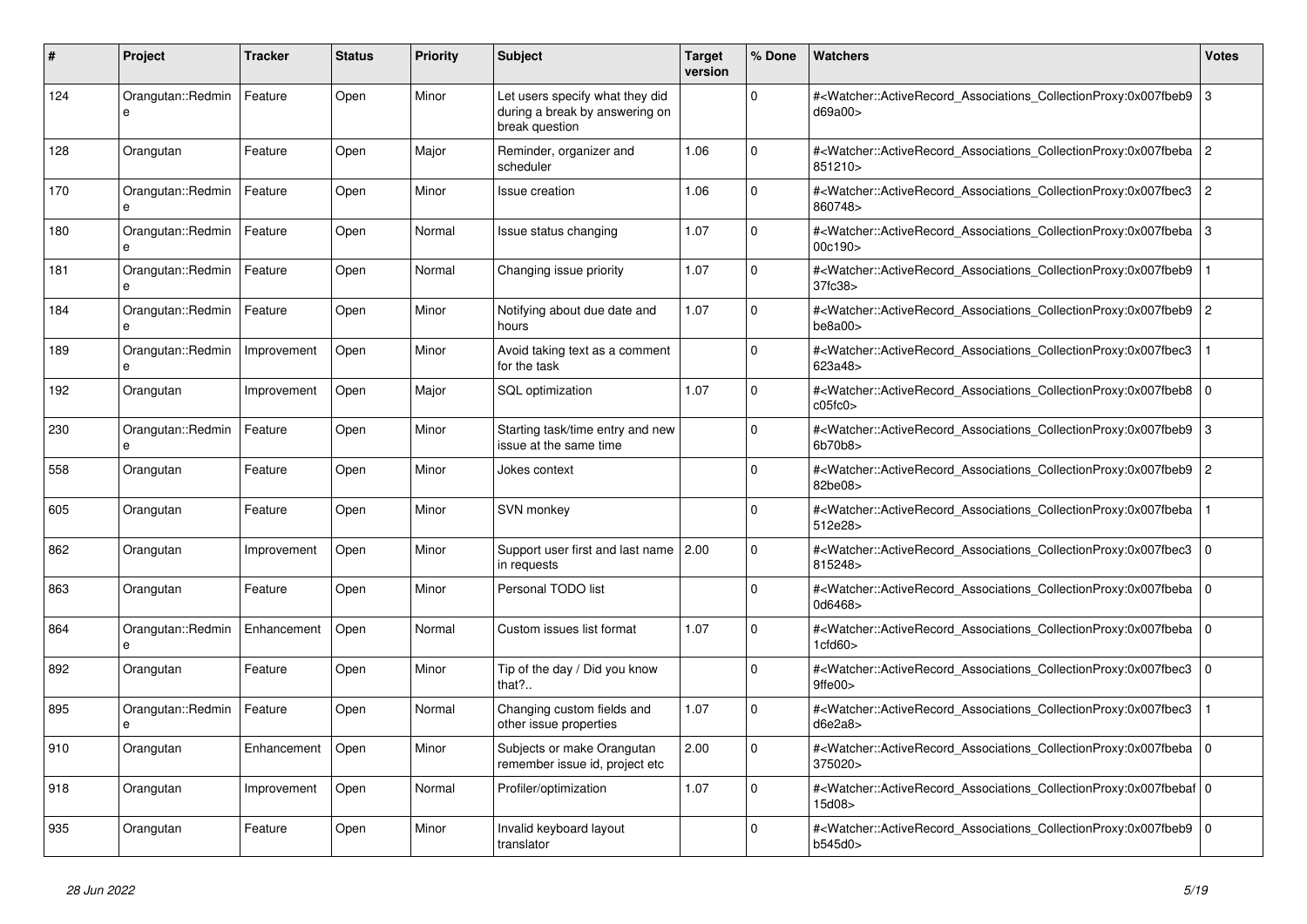| #   | Project                       | <b>Tracker</b> | <b>Status</b> | <b>Priority</b> | <b>Subject</b>                                                                      | <b>Target</b><br>version | % Done      | <b>Watchers</b>                                                                                                                                           | Votes          |
|-----|-------------------------------|----------------|---------------|-----------------|-------------------------------------------------------------------------------------|--------------------------|-------------|-----------------------------------------------------------------------------------------------------------------------------------------------------------|----------------|
| 124 | Orangutan::Redmin<br>e        | Feature        | Open          | Minor           | Let users specify what they did<br>during a break by answering on<br>break question |                          | $\Omega$    | # <watcher::activerecord_associations_collectionproxy:0x007fbeb9<br>d69a00&gt;</watcher::activerecord_associations_collectionproxy:0x007fbeb9<br>         | 3              |
| 128 | Orangutan                     | Feature        | Open          | Major           | Reminder, organizer and<br>scheduler                                                | 1.06                     | $\Omega$    | # <watcher::activerecord_associations_collectionproxy:0x007fbeba<br>851210&gt;</watcher::activerecord_associations_collectionproxy:0x007fbeba<br>         | l 2            |
| 170 | Orangutan::Redmin<br>e        | Feature        | Open          | Minor           | Issue creation                                                                      | 1.06                     | $\Omega$    | # <watcher::activerecord_associations_collectionproxy:0x007fbec3<br>860748&gt;</watcher::activerecord_associations_collectionproxy:0x007fbec3<br>         | $\overline{2}$ |
| 180 | Orangutan::Redmin             | Feature        | Open          | Normal          | Issue status changing                                                               | 1.07                     | $\Omega$    | # <watcher::activerecord_associations_collectionproxy:0x007fbeba<br>00c190&gt;</watcher::activerecord_associations_collectionproxy:0x007fbeba<br>         | 3              |
| 181 | Orangutan::Redmin<br>$\theta$ | Feature        | Open          | Normal          | Changing issue priority                                                             | 1.07                     | $\Omega$    | # <watcher::activerecord associations="" collectionproxy:0x007fbeb9<br="">37fc38&gt;</watcher::activerecord>                                              |                |
| 184 | Orangutan::Redmin<br>e        | Feature        | Open          | Minor           | Notifying about due date and<br>hours                                               | 1.07                     | $\mathbf 0$ | # <watcher::activerecord_associations_collectionproxy:0x007fbeb9<br>be8a00&gt;</watcher::activerecord_associations_collectionproxy:0x007fbeb9<br>         | $\overline{2}$ |
| 189 | Orangutan::Redmin<br>e        | Improvement    | Open          | Minor           | Avoid taking text as a comment<br>for the task                                      |                          | $\Omega$    | # <watcher::activerecord_associations_collectionproxy:0x007fbec3<br>623a48&gt;</watcher::activerecord_associations_collectionproxy:0x007fbec3<br>         |                |
| 192 | Orangutan                     | Improvement    | Open          | Major           | <b>SQL</b> optimization                                                             | 1.07                     | $\Omega$    | # <watcher::activerecord associations="" collectionproxy:0x007fbeb8<br="">c05fc0&gt;</watcher::activerecord>                                              | l O            |
| 230 | Orangutan::Redmin<br>$\theta$ | Feature        | Open          | Minor           | Starting task/time entry and new<br>issue at the same time                          |                          | $\Omega$    | # <watcher::activerecord associations="" collectionproxy:0x007fbeb9<br="">6b70b8</watcher::activerecord>                                                  | 3              |
| 558 | Orangutan                     | Feature        | Open          | Minor           | Jokes context                                                                       |                          | $\Omega$    | # <watcher::activerecord_associations_collectionproxy:0x007fbeb9<br>82be08&gt;</watcher::activerecord_associations_collectionproxy:0x007fbeb9<br>         | 2              |
| 605 | Orangutan                     | Feature        | Open          | Minor           | <b>SVN monkey</b>                                                                   |                          | $\Omega$    | # <watcher::activerecord associations="" collectionproxy:0x007fbeba<br="">512e28&gt;</watcher::activerecord>                                              |                |
| 862 | Orangutan                     | Improvement    | Open          | Minor           | Support user first and last name 2.00<br>in requests                                |                          | $\mathbf 0$ | # <watcher::activerecord_associations_collectionproxy:0x007fbec3<br>815248&gt;</watcher::activerecord_associations_collectionproxy:0x007fbec3<br>         | 0              |
| 863 | Orangutan                     | Feature        | Open          | Minor           | Personal TODO list                                                                  |                          | $\Omega$    | # <watcher::activerecord_associations_collectionproxy:0x007fbeba<br>0d6468&gt;</watcher::activerecord_associations_collectionproxy:0x007fbeba<br>         | $\overline{0}$ |
| 864 | Orangutan::Redmin<br>e        | Enhancement    | Open          | Normal          | Custom issues list format                                                           | 1.07                     | $\Omega$    | # <watcher::activerecord 0<br="" associations="" collectionproxy:0x007fbeba=""  ="">1cfd60</watcher::activerecord>                                        |                |
| 892 | Orangutan                     | Feature        | Open          | Minor           | Tip of the day / Did you know<br>that?                                              |                          | $\mathbf 0$ | # <watcher::activerecord associations="" collectionproxy:0x007fbec3<br="">9ffe00&gt;</watcher::activerecord>                                              | 0              |
| 895 | Orangutan::Redmin<br>e        | Feature        | Open          | Normal          | Changing custom fields and<br>other issue properties                                | 1.07                     | $\Omega$    | # <watcher::activerecord_associations_collectionproxy:0x007fbec3<br>d6e2a8&gt;</watcher::activerecord_associations_collectionproxy:0x007fbec3<br>         |                |
| 910 | Orangutan                     | Enhancement    | Open          | Minor           | Subjects or make Orangutan<br>remember issue id, project etc                        | 2.00                     | $\Omega$    | # <watcher::activerecord associations="" collectionproxy:0x007fbeba<br="">375020&gt;</watcher::activerecord>                                              | l O            |
| 918 | Orangutan                     | Improvement    | Open          | Normal          | Profiler/optimization                                                               | 1.07                     | $\mathbf 0$ | # <watcher::activerecord_associations_collectionproxy:0x007fbebaf 0<br=""  ="">15d08&gt;</watcher::activerecord_associations_collectionproxy:0x007fbebaf> |                |
| 935 | Orangutan                     | Feature        | Open          | Minor           | Invalid keyboard layout<br>translator                                               |                          | $\Omega$    | # <watcher::activerecord_associations_collectionproxy:0x007fbeb9<br>b545d0&gt;</watcher::activerecord_associations_collectionproxy:0x007fbeb9<br>         | l O            |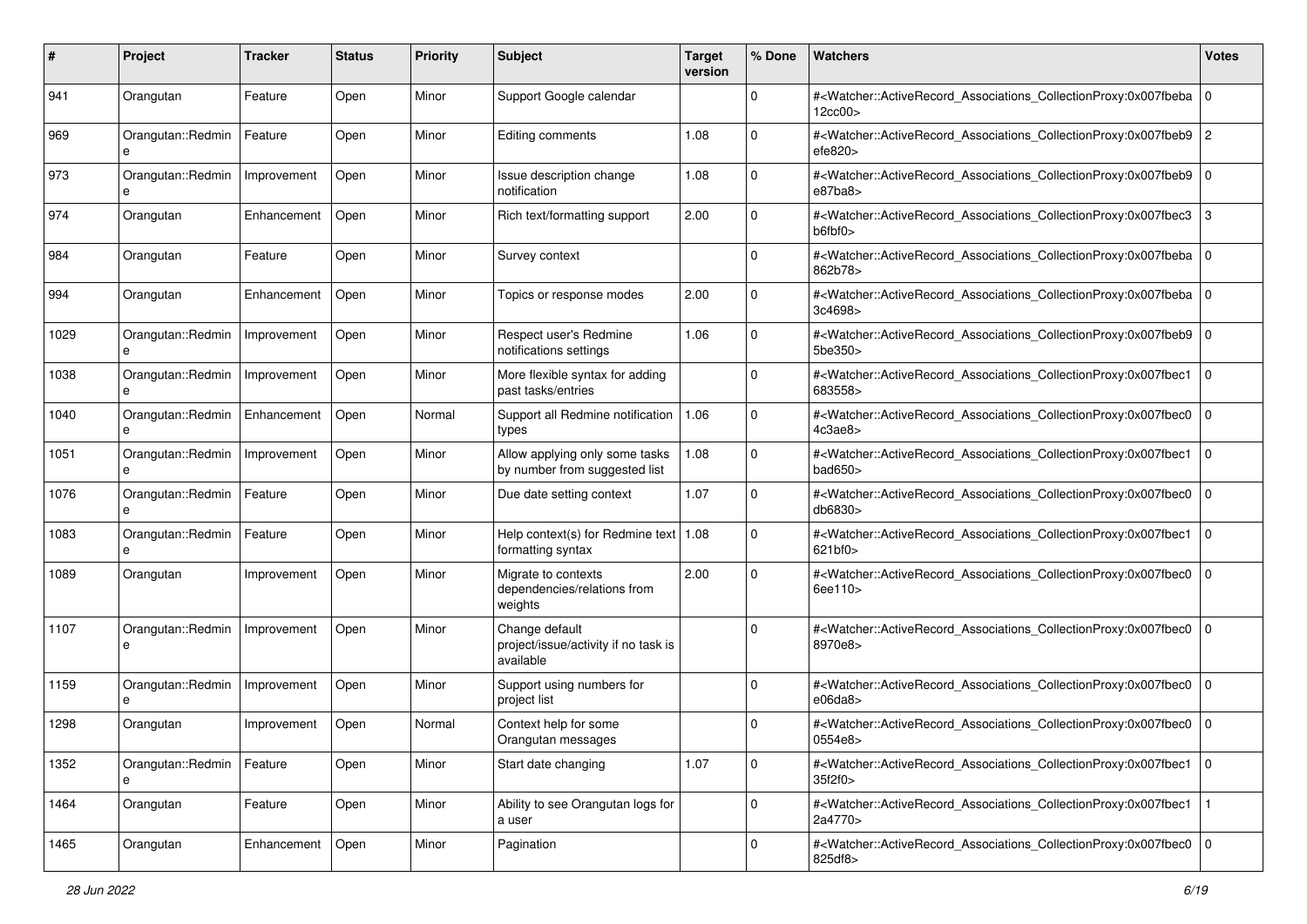| #    | Project                          | <b>Tracker</b> | <b>Status</b> | <b>Priority</b> | <b>Subject</b>                                                      | <b>Target</b><br>version | % Done      | Watchers                                                                                                                                                 | <b>Votes</b> |
|------|----------------------------------|----------------|---------------|-----------------|---------------------------------------------------------------------|--------------------------|-------------|----------------------------------------------------------------------------------------------------------------------------------------------------------|--------------|
| 941  | Orangutan                        | Feature        | Open          | Minor           | Support Google calendar                                             |                          | 0           | # <watcher::activerecord_associations_collectionproxy:0x007fbeba<br>12cc00&gt;</watcher::activerecord_associations_collectionproxy:0x007fbeba<br>        | $\mathbf 0$  |
| 969  | Orangutan::Redmin<br>e           | Feature        | Open          | Minor           | Editing comments                                                    | 1.08                     | $\mathbf 0$ | # <watcher::activerecord_associations_collectionproxy:0x007fbeb9<br>efe820</watcher::activerecord_associations_collectionproxy:0x007fbeb9<br>            | 2            |
| 973  | Orangutan::Redmin<br>e           | Improvement    | Open          | Minor           | Issue description change<br>notification                            | 1.08                     | 0           | # <watcher::activerecord_associations_collectionproxy:0x007fbeb9 0<br="">e87ba8</watcher::activerecord_associations_collectionproxy:0x007fbeb9>          |              |
| 974  | Orangutan                        | Enhancement    | Open          | Minor           | Rich text/formatting support                                        | 2.00                     | $\mathbf 0$ | # <watcher::activerecord_associations_collectionproxy:0x007fbec3<br>b6fbf0&gt;</watcher::activerecord_associations_collectionproxy:0x007fbec3<br>        | 3            |
| 984  | Orangutan                        | Feature        | Open          | Minor           | Survey context                                                      |                          | $\mathbf 0$ | # <watcher::activerecord_associations_collectionproxy:0x007fbeba 0<br=""  ="">862b78&gt;</watcher::activerecord_associations_collectionproxy:0x007fbeba> |              |
| 994  | Orangutan                        | Enhancement    | Open          | Minor           | Topics or response modes                                            | 2.00                     | $\Omega$    | # <watcher::activerecord_associations_collectionproxy:0x007fbeba<br>3c4698&gt;</watcher::activerecord_associations_collectionproxy:0x007fbeba<br>        | $\mathbf 0$  |
| 1029 | Orangutan::Redmin                | Improvement    | Open          | Minor           | Respect user's Redmine<br>notifications settings                    | 1.06                     | $\mathbf 0$ | # <watcher::activerecord_associations_collectionproxy:0x007fbeb9 0<br="">5be350&gt;</watcher::activerecord_associations_collectionproxy:0x007fbeb9>      |              |
| 1038 | Orangutan::Redmin<br>e           | Improvement    | Open          | Minor           | More flexible syntax for adding<br>past tasks/entries               |                          | 0           | # <watcher::activerecord_associations_collectionproxy:0x007fbec1<br>683558&gt;</watcher::activerecord_associations_collectionproxy:0x007fbec1<br>        | $\Omega$     |
| 1040 | Orangutan::Redmin<br>e           | Enhancement    | Open          | Normal          | Support all Redmine notification<br>types                           | 1.06                     | $\mathbf 0$ | # <watcher::activerecord_associations_collectionproxy:0x007fbec0<br>4c3ae8</watcher::activerecord_associations_collectionproxy:0x007fbec0<br>            | $\mathbf 0$  |
| 1051 | Orangutan::Redmin<br>e           | Improvement    | Open          | Minor           | Allow applying only some tasks<br>by number from suggested list     | 1.08                     | $\Omega$    | # <watcher::activerecord_associations_collectionproxy:0x007fbec1<br>bad650&gt;</watcher::activerecord_associations_collectionproxy:0x007fbec1<br>        | $\mathbf 0$  |
| 1076 | Orangutan::Redmin<br>e           | Feature        | Open          | Minor           | Due date setting context                                            | 1.07                     | $\mathbf 0$ | # <watcher::activerecord_associations_collectionproxy:0x007fbec0<br>db6830&gt;</watcher::activerecord_associations_collectionproxy:0x007fbec0<br>        | $\mathbf 0$  |
| 1083 | Orangutan::Redmin<br>e           | Feature        | Open          | Minor           | Help context(s) for Redmine text   $1.08$<br>formatting syntax      |                          | $\mathbf 0$ | # <watcher::activerecord_associations_collectionproxy:0x007fbec1<br>621b f0</watcher::activerecord_associations_collectionproxy:0x007fbec1<br>           | $\mathbf 0$  |
| 1089 | Orangutan                        | Improvement    | Open          | Minor           | Migrate to contexts<br>dependencies/relations from<br>weights       | 2.00                     | $\Omega$    | # <watcher::activerecord_associations_collectionproxy:0x007fbec0<br>6ee110&gt;</watcher::activerecord_associations_collectionproxy:0x007fbec0<br>        | $\mathbf 0$  |
| 1107 | Orangutan::Redmin<br>e           | Improvement    | Open          | Minor           | Change default<br>project/issue/activity if no task is<br>available |                          | $\Omega$    | # <watcher::activerecord_associations_collectionproxy:0x007fbec0<br>8970e8&gt;</watcher::activerecord_associations_collectionproxy:0x007fbec0<br>        | $\mathbf 0$  |
| 1159 | Orangutan::Redmin<br>e           | Improvement    | Open          | Minor           | Support using numbers for<br>project list                           |                          | $\Omega$    | # <watcher::activerecord_associations_collectionproxy:0x007fbec0<br>e06da8</watcher::activerecord_associations_collectionproxy:0x007fbec0<br>            | $\mathbf 0$  |
| 1298 | Orangutan                        | Improvement    | Open          | Normal          | Context help for some<br>Orangutan messages                         |                          | $\Omega$    | # <watcher::activerecord_associations_collectionproxy:0x007fbec0 0<br="">0554e8&gt;</watcher::activerecord_associations_collectionproxy:0x007fbec0>      |              |
| 1352 | Orangutan::Redmin   Feature<br>e |                | Open          | Minor           | Start date changing                                                 | 1.07                     | $\mathbf 0$ | # <watcher::activerecord_associations_collectionproxy:0x007fbec1<br>35f2f0&gt;</watcher::activerecord_associations_collectionproxy:0x007fbec1<br>        | l O          |
| 1464 | Orangutan                        | Feature        | Open          | Minor           | Ability to see Orangutan logs for<br>a user                         |                          | $\mathbf 0$ | # <watcher::activerecord_associations_collectionproxy:0x007fbec1<br>2a4770&gt;</watcher::activerecord_associations_collectionproxy:0x007fbec1<br>        |              |
| 1465 | Orangutan                        | Enhancement    | Open          | Minor           | Pagination                                                          |                          | $\mathbf 0$ | # <watcher::activerecord_associations_collectionproxy:0x007fbec0 0<br="">825df8&gt;</watcher::activerecord_associations_collectionproxy:0x007fbec0>      |              |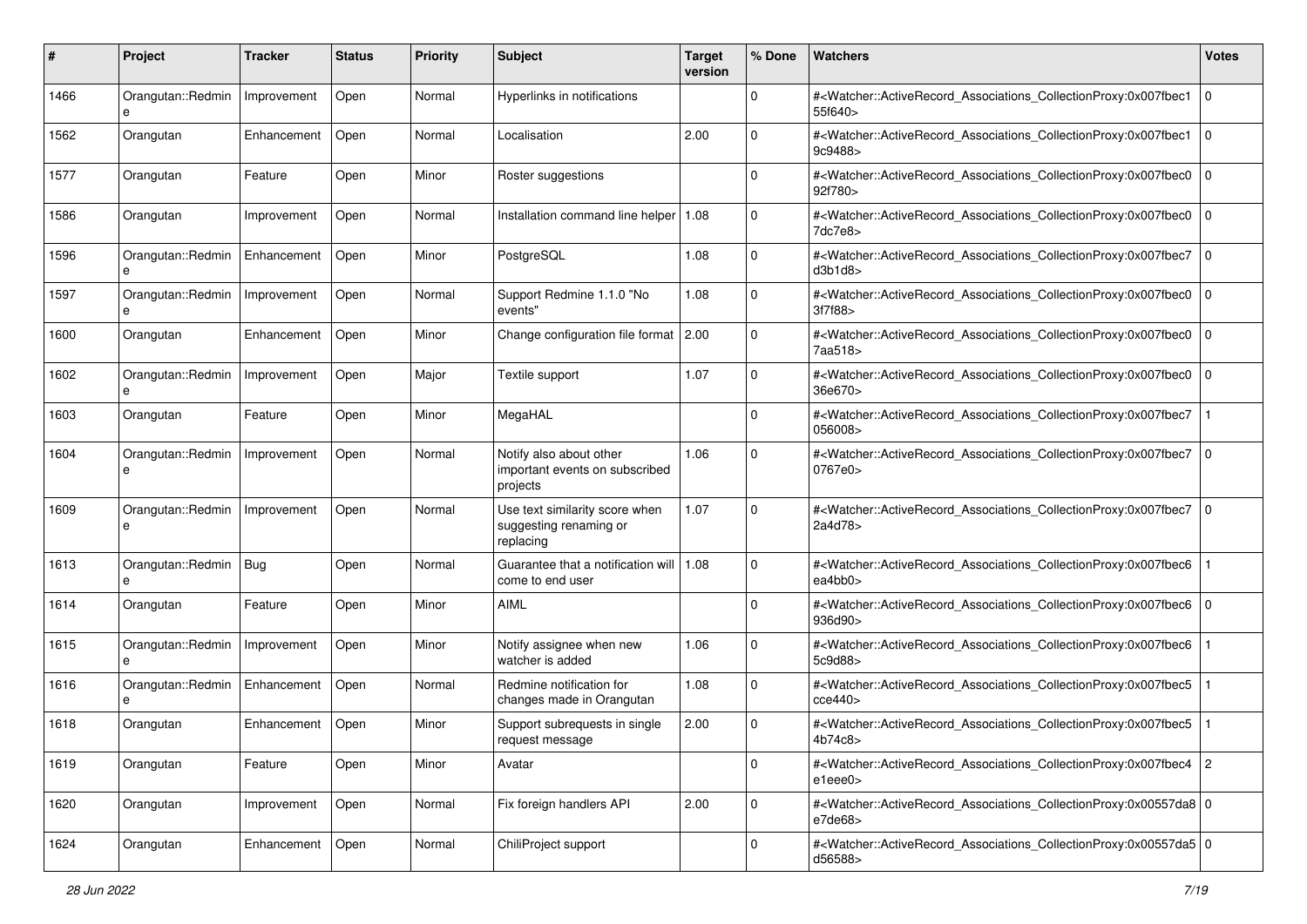| #    | Project                      | Tracker     | <b>Status</b> | <b>Priority</b> | <b>Subject</b>                                                        | <b>Target</b><br>version | % Done      | Watchers                                                                                                                                                 | <b>Votes</b> |
|------|------------------------------|-------------|---------------|-----------------|-----------------------------------------------------------------------|--------------------------|-------------|----------------------------------------------------------------------------------------------------------------------------------------------------------|--------------|
| 1466 | Orangutan::Redmin<br>e       | Improvement | Open          | Normal          | Hyperlinks in notifications                                           |                          | 0           | # <watcher::activerecord_associations_collectionproxy:0x007fbec1<br>55f640&gt;</watcher::activerecord_associations_collectionproxy:0x007fbec1<br>        | $\mathbf 0$  |
| 1562 | Orangutan                    | Enhancement | Open          | Normal          | Localisation                                                          | 2.00                     | $\Omega$    | # <watcher::activerecord_associations_collectionproxy:0x007fbec1<br>9c9488&gt;</watcher::activerecord_associations_collectionproxy:0x007fbec1<br>        | $\mathbf 0$  |
| 1577 | Orangutan                    | Feature     | Open          | Minor           | Roster suggestions                                                    |                          | $\Omega$    | # <watcher::activerecord_associations_collectionproxy:0x007fbec0<br>92f780&gt;</watcher::activerecord_associations_collectionproxy:0x007fbec0<br>        | $\mathbf 0$  |
| 1586 | Orangutan                    | Improvement | Open          | Normal          | Installation command line helper                                      | 1.08                     | $\mathbf 0$ | # <watcher::activerecord_associations_collectionproxy:0x007fbec0<br>7dc7e8&gt;</watcher::activerecord_associations_collectionproxy:0x007fbec0<br>        | $\Omega$     |
| 1596 | Orangutan::Redmin<br>e       | Enhancement | Open          | Minor           | PostgreSQL                                                            | 1.08                     | $\mathbf 0$ | # <watcher::activerecord_associations_collectionproxy:0x007fbec7<br>d3b1d8</watcher::activerecord_associations_collectionproxy:0x007fbec7<br>            | $\mathbf 0$  |
| 1597 | Orangutan::Redmin            | Improvement | Open          | Normal          | Support Redmine 1.1.0 "No<br>events"                                  | 1.08                     | $\mathbf 0$ | # <watcher::activerecord_associations_collectionproxy:0x007fbec0<br>3f7f88&gt;</watcher::activerecord_associations_collectionproxy:0x007fbec0<br>        | $\mathbf 0$  |
| 1600 | Orangutan                    | Enhancement | Open          | Minor           | Change configuration file format 2.00                                 |                          | $\mathbf 0$ | # <watcher::activerecord_associations_collectionproxy:0x007fbec0<br>7aa518&gt;</watcher::activerecord_associations_collectionproxy:0x007fbec0<br>        | $\mathbf 0$  |
| 1602 | Orangutan::Redmin<br>e       | Improvement | Open          | Major           | Textile support                                                       | 1.07                     | $\mathbf 0$ | # <watcher::activerecord_associations_collectionproxy:0x007fbec0<br>36e670&gt;</watcher::activerecord_associations_collectionproxy:0x007fbec0<br>        | $\Omega$     |
| 1603 | Orangutan                    | Feature     | Open          | Minor           | MegaHAL                                                               |                          | $\mathbf 0$ | # <watcher::activerecord_associations_collectionproxy:0x007fbec7<br>056008&gt;</watcher::activerecord_associations_collectionproxy:0x007fbec7<br>        |              |
| 1604 | Orangutan::Redmin<br>e       | Improvement | Open          | Normal          | Notify also about other<br>important events on subscribed<br>projects | 1.06                     | $\Omega$    | # <watcher::activerecord_associations_collectionproxy:0x007fbec7<br>0767e0&gt;</watcher::activerecord_associations_collectionproxy:0x007fbec7<br>        | $\mathbf 0$  |
| 1609 | Orangutan::Redmin<br>е       | Improvement | Open          | Normal          | Use text similarity score when<br>suggesting renaming or<br>replacing | 1.07                     | $\Omega$    | # <watcher::activerecord_associations_collectionproxy:0x007fbec7<br>2a4d78&gt;</watcher::activerecord_associations_collectionproxy:0x007fbec7<br>        | $\mathbf 0$  |
| 1613 | Orangutan::Redmin   Bug<br>e |             | Open          | Normal          | Guarantee that a notification will   1.08<br>come to end user         |                          | $\Omega$    | # <watcher::activerecord_associations_collectionproxy:0x007fbec6<br>ea4bb0&gt;</watcher::activerecord_associations_collectionproxy:0x007fbec6<br>        |              |
| 1614 | Orangutan                    | Feature     | Open          | Minor           | AIML                                                                  |                          | $\mathbf 0$ | # <watcher::activerecord_associations_collectionproxy:0x007fbec6<br>936d90&gt;</watcher::activerecord_associations_collectionproxy:0x007fbec6<br>        | $\mathbf 0$  |
| 1615 | Orangutan::Redmin<br>e       | Improvement | Open          | Minor           | Notify assignee when new<br>watcher is added                          | 1.06                     | $\mathbf 0$ | # <watcher::activerecord_associations_collectionproxy:0x007fbec6<br>5c9d88&gt;</watcher::activerecord_associations_collectionproxy:0x007fbec6<br>        |              |
| 1616 | Orangutan::Redmin<br>e       | Enhancement | Open          | Normal          | Redmine notification for<br>changes made in Orangutan                 | 1.08                     | $\mathbf 0$ | # <watcher::activerecord_associations_collectionproxy:0x007fbec5<br>cce440</watcher::activerecord_associations_collectionproxy:0x007fbec5<br>            |              |
| 1618 | Orangutan                    | Enhancement | Open          | Minor           | Support subrequests in single<br>request message                      | 2.00                     | 0           | # <watcher::activerecord_associations_collectionproxy:0x007fbec5<br>4b74c8&gt;</watcher::activerecord_associations_collectionproxy:0x007fbec5<br>        |              |
| 1619 | Orangutan                    | Feature     | Open          | Minor           | Avatar                                                                |                          | $\mathbf 0$ | # <watcher::activerecord_associations_collectionproxy:0x007fbec4 2<br="">e1eee0&gt;</watcher::activerecord_associations_collectionproxy:0x007fbec4>      |              |
| 1620 | Orangutan                    | Improvement | Open          | Normal          | Fix foreign handlers API                                              | 2.00                     | $\mathbf 0$ | # <watcher::activerecord 0<br="" associations="" collectionproxy:0x00557da8="">e7de68</watcher::activerecord>                                            |              |
| 1624 | Orangutan                    | Enhancement | Open          | Normal          | ChiliProject support                                                  |                          | $\mathbf 0$ | # <watcher::activerecord_associations_collectionproxy:0x00557da5 0<br=""  ="">d56588&gt;</watcher::activerecord_associations_collectionproxy:0x00557da5> |              |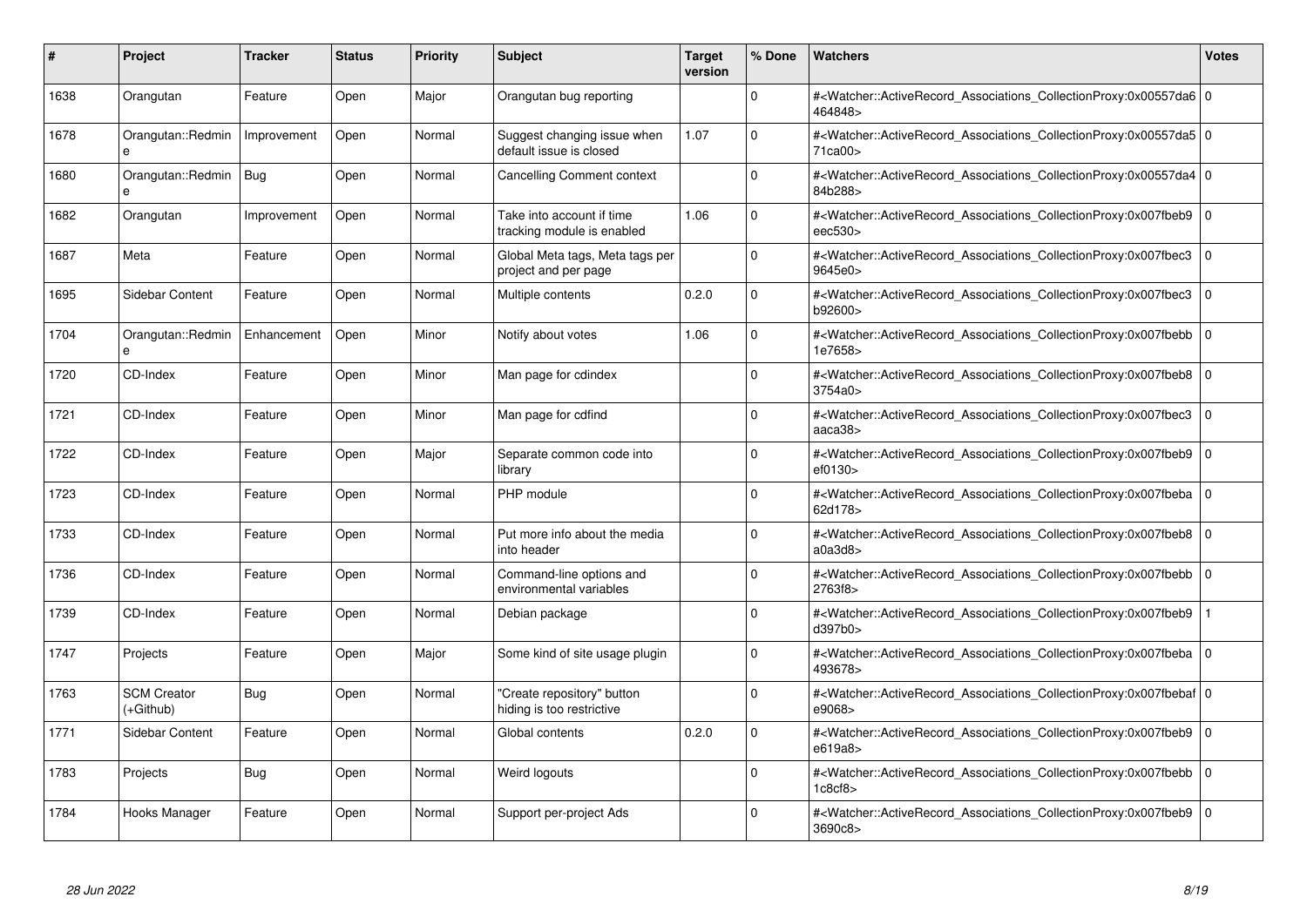| #    | Project                         | <b>Tracker</b> | <b>Status</b> | <b>Priority</b> | <b>Subject</b>                                          | <b>Target</b><br>version | % Done      | <b>Watchers</b>                                                                                                                                          | <b>Votes</b> |
|------|---------------------------------|----------------|---------------|-----------------|---------------------------------------------------------|--------------------------|-------------|----------------------------------------------------------------------------------------------------------------------------------------------------------|--------------|
| 1638 | Orangutan                       | Feature        | Open          | Major           | Orangutan bug reporting                                 |                          | $\Omega$    | # <watcher::activerecord_associations_collectionproxy:0x00557da6 0<br=""  ="">464848&gt;</watcher::activerecord_associations_collectionproxy:0x00557da6> |              |
| 1678 | Orangutan::Redmin<br>e          | Improvement    | Open          | Normal          | Suggest changing issue when<br>default issue is closed  | 1.07                     | $\Omega$    | # <watcher::activerecord 0<br="" associations="" collectionproxy:0x00557da5=""  ="">71ca00&gt;</watcher::activerecord>                                   |              |
| 1680 | Orangutan::Redmin<br>e          | Bug            | Open          | Normal          | <b>Cancelling Comment context</b>                       |                          | $\Omega$    | # <watcher::activerecord_associations_collectionproxy:0x00557da4 0<br=""  ="">84b288&gt;</watcher::activerecord_associations_collectionproxy:0x00557da4> |              |
| 1682 | Orangutan                       | Improvement    | Open          | Normal          | Take into account if time<br>tracking module is enabled | 1.06                     | $\Omega$    | # <watcher::activerecord_associations_collectionproxy:0x007fbeb9 0<br="">eec530&gt;</watcher::activerecord_associations_collectionproxy:0x007fbeb9>      |              |
| 1687 | Meta                            | Feature        | Open          | Normal          | Global Meta tags, Meta tags per<br>project and per page |                          | $\Omega$    | # <watcher::activerecord associations="" collectionproxy:0x007fbec3<br="">9645e0&gt;</watcher::activerecord>                                             | $\mathbf 0$  |
| 1695 | Sidebar Content                 | Feature        | Open          | Normal          | Multiple contents                                       | 0.2.0                    | $\Omega$    | # <watcher::activerecord associations="" collectionproxy:0x007fbec3<br="">b92600&gt;</watcher::activerecord>                                             | $\mathbf 0$  |
| 1704 | Orangutan::Redmin               | Enhancement    | Open          | Minor           | Notify about votes                                      | 1.06                     | $\Omega$    | # <watcher::activerecord_associations_collectionproxy:0x007fbebb  <br="">1e7658&gt;</watcher::activerecord_associations_collectionproxy:0x007fbebb>      | $\mathbf 0$  |
| 1720 | CD-Index                        | Feature        | Open          | Minor           | Man page for cdindex                                    |                          | $\Omega$    | # <watcher::activerecord_associations_collectionproxy:0x007fbeb8  <br="">3754a0</watcher::activerecord_associations_collectionproxy:0x007fbeb8>          | $\Omega$     |
| 1721 | CD-Index                        | Feature        | Open          | Minor           | Man page for cdfind                                     |                          | $\Omega$    | # <watcher::activerecord associations="" collectionproxy:0x007fbec3<br="">aaca38&gt;</watcher::activerecord>                                             | $\mathbf 0$  |
| 1722 | CD-Index                        | Feature        | Open          | Major           | Separate common code into<br>library                    |                          | $\Omega$    | # <watcher::activerecord associations="" collectionproxy:0x007fbeb9<br="">ef0130&gt;</watcher::activerecord>                                             | $\mathbf 0$  |
| 1723 | CD-Index                        | Feature        | Open          | Normal          | PHP module                                              |                          | $\Omega$    | # <watcher::activerecord_associations_collectionproxy:0x007fbeba 0<br=""  ="">62d178&gt;</watcher::activerecord_associations_collectionproxy:0x007fbeba> |              |
| 1733 | CD-Index                        | Feature        | Open          | Normal          | Put more info about the media<br>into header            |                          | $\Omega$    | # <watcher::activerecord_associations_collectionproxy:0x007fbeb8  <br="">a0a3d8</watcher::activerecord_associations_collectionproxy:0x007fbeb8>          | $\mathbf 0$  |
| 1736 | CD-Index                        | Feature        | Open          | Normal          | Command-line options and<br>environmental variables     |                          | $\Omega$    | # <watcher::activerecord associations="" collectionproxy:0x007fbebb<br="">2763f8&gt;</watcher::activerecord>                                             | $\mathbf 0$  |
| 1739 | CD-Index                        | Feature        | Open          | Normal          | Debian package                                          |                          | $\mathbf 0$ | # <watcher::activerecord_associations_collectionproxy:0x007fbeb9<br>d397b0</watcher::activerecord_associations_collectionproxy:0x007fbeb9<br>            |              |
| 1747 | Projects                        | Feature        | Open          | Major           | Some kind of site usage plugin                          |                          | $\Omega$    | # <watcher::activerecord 0<br="" associations="" collectionproxy:0x007fbeba=""  ="">493678&gt;</watcher::activerecord>                                   |              |
| 1763 | <b>SCM Creator</b><br>(+Github) | Bug            | Open          | Normal          | 'Create repository" button<br>hiding is too restrictive |                          | $\Omega$    | # <watcher::activerecord 0<br="" associations="" collectionproxy:0x007fbebaf=""  ="">e9068&gt;</watcher::activerecord>                                   |              |
| 1771 | Sidebar Content                 | Feature        | Open          | Normal          | Global contents                                         | 0.2.0                    | $\Omega$    | # <watcher::activerecord associations="" collectionproxy:0x007fbeb9=""  <br="">e619a8&gt;</watcher::activerecord>                                        | $\mathbf 0$  |
| 1783 | Projects                        | Bug            | Open          | Normal          | Weird logouts                                           |                          | $\Omega$    | # <watcher::activerecord associations="" collectionproxy:0x007fbebb<br="">1c8cf8</watcher::activerecord>                                                 | $\mathbf 0$  |
| 1784 | Hooks Manager                   | Feature        | Open          | Normal          | Support per-project Ads                                 |                          | $\Omega$    | # <watcher::activerecord_associations_collectionproxy:0x007fbeb9 0<br=""  ="">3690c8&gt;</watcher::activerecord_associations_collectionproxy:0x007fbeb9> |              |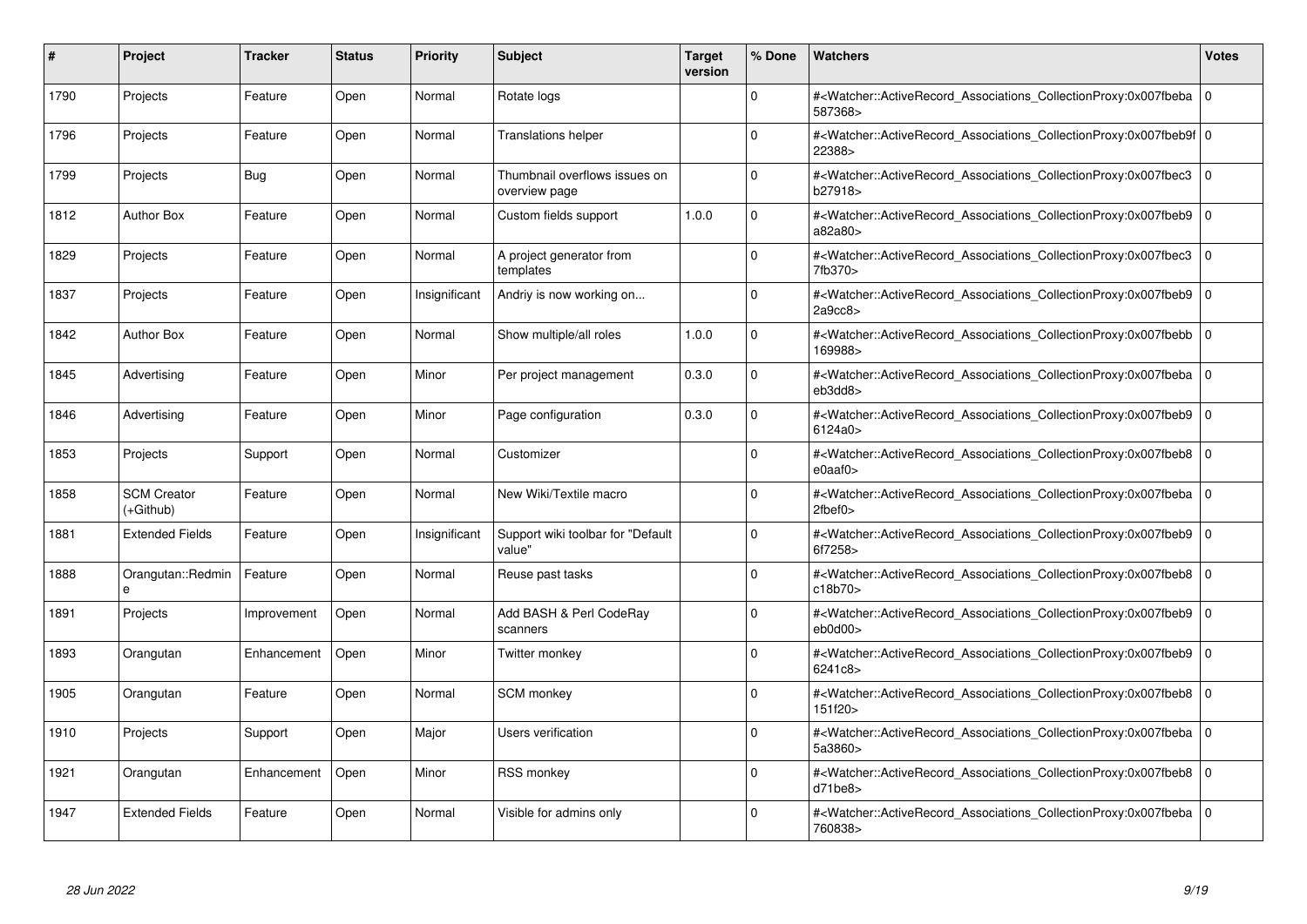| #    | Project                           | <b>Tracker</b> | <b>Status</b> | <b>Priority</b> | <b>Subject</b>                                 | <b>Target</b><br>version | % Done      | <b>Watchers</b>                                                                                                                                                                | <b>Votes</b> |
|------|-----------------------------------|----------------|---------------|-----------------|------------------------------------------------|--------------------------|-------------|--------------------------------------------------------------------------------------------------------------------------------------------------------------------------------|--------------|
| 1790 | Projects                          | Feature        | Open          | Normal          | Rotate logs                                    |                          | $\Omega$    | # <watcher::activerecord associations="" collectionproxy:0x007fbeba<br="">587368&gt;</watcher::activerecord>                                                                   | $\mathbf 0$  |
| 1796 | Projects                          | Feature        | Open          | Normal          | <b>Translations helper</b>                     |                          | $\Omega$    | # <watcher::activerecord 0<br="" associations="" collectionproxy:0x007fbeb9f=""  ="">22388&gt;</watcher::activerecord>                                                         |              |
| 1799 | Projects                          | <b>Bug</b>     | Open          | Normal          | Thumbnail overflows issues on<br>overview page |                          | $\Omega$    | # <watcher::activerecord_associations_collectionproxy:0x007fbec3<br>b27918&gt;</watcher::activerecord_associations_collectionproxy:0x007fbec3<br>                              | $\Omega$     |
| 1812 | <b>Author Box</b>                 | Feature        | Open          | Normal          | Custom fields support                          | 1.0.0                    | $\Omega$    | # <watcher::activerecord_associations_collectionproxy:0x007fbeb9 0<br="">a82a80&gt;</watcher::activerecord_associations_collectionproxy:0x007fbeb9>                            |              |
| 1829 | Projects                          | Feature        | Open          | Normal          | A project generator from<br>templates          |                          | $\Omega$    | # <watcher::activerecord_associations_collectionproxy:0x007fbec3<br>7fb370&gt;</watcher::activerecord_associations_collectionproxy:0x007fbec3<br>                              | $\mathbf 0$  |
| 1837 | Projects                          | Feature        | Open          | Insignificant   | Andriy is now working on                       |                          | $\Omega$    | # <watcher::activerecord_associations_collectionproxy:0x007fbeb9  <br="">2a9cc8</watcher::activerecord_associations_collectionproxy:0x007fbeb9>                                | $\Omega$     |
| 1842 | <b>Author Box</b>                 | Feature        | Open          | Normal          | Show multiple/all roles                        | 1.0.0                    | $\Omega$    | # <watcher::activerecord associations="" collectionproxy:0x007fbebb<br="">169988&gt;</watcher::activerecord>                                                                   | $\mathbf 0$  |
| 1845 | Advertising                       | Feature        | Open          | Minor           | Per project management                         | 0.3.0                    | $\Omega$    | # <watcher::activerecord_associations_collectionproxy:0x007fbeba 0<br=""  ="">eb3dd8&gt;</watcher::activerecord_associations_collectionproxy:0x007fbeba>                       |              |
| 1846 | Advertising                       | Feature        | Open          | Minor           | Page configuration                             | 0.3.0                    | $\Omega$    | # <watcher::activerecord associations="" collectionproxy:0x007fbeb9<br="">6124a0&gt;</watcher::activerecord>                                                                   | $\mathbf 0$  |
| 1853 | Projects                          | Support        | Open          | Normal          | Customizer                                     |                          | $\Omega$    | # <watcher::activerecord associations="" collectionproxy:0x007fbeb8<br=""><math>e0</math>aaf<math>0</math></watcher::activerecord>                                             | $\mathbf 0$  |
| 1858 | <b>SCM Creator</b><br>$(+Github)$ | Feature        | Open          | Normal          | New Wiki/Textile macro                         |                          | $\Omega$    | # <watcher::activerecord_associations_collectionproxy:0x007fbeba 0<br=""  =""><math>2</math>fbef<math>0</math></watcher::activerecord_associations_collectionproxy:0x007fbeba> |              |
| 1881 | <b>Extended Fields</b>            | Feature        | Open          | Insignificant   | Support wiki toolbar for "Default<br>value"    |                          | $\Omega$    | # <watcher::activerecord associations="" collectionproxy:0x007fbeb9<br="">6f7258&gt;</watcher::activerecord>                                                                   | $\mathbf 0$  |
| 1888 | Orangutan::Redmin<br>e            | Feature        | Open          | Normal          | Reuse past tasks                               |                          | $\Omega$    | # <watcher::activerecord associations="" collectionproxy:0x007fbeb8<br="">c18b70&gt;</watcher::activerecord>                                                                   | $\mathbf 0$  |
| 1891 | Projects                          | Improvement    | Open          | Normal          | Add BASH & Perl CodeRay<br>scanners            |                          | $\Omega$    | # <watcher::activerecord_associations_collectionproxy:0x007fbeb9<br>eb0d00&gt;</watcher::activerecord_associations_collectionproxy:0x007fbeb9<br>                              | $\Omega$     |
| 1893 | Orangutan                         | Enhancement    | Open          | Minor           | Twitter monkey                                 |                          | $\Omega$    | # <watcher::activerecord associations="" collectionproxy:0x007fbeb9=""  <br="">6241c8&gt;</watcher::activerecord>                                                              | $\mathbf 0$  |
| 1905 | Orangutan                         | Feature        | Open          | Normal          | <b>SCM</b> monkey                              |                          | O           | # <watcher::activerecord_associations_collectionproxy:0x007fbeb8  <br="">151f20&gt;</watcher::activerecord_associations_collectionproxy:0x007fbeb8>                            | $\mathbf 0$  |
| 1910 | Projects                          | Support        | Open          | Major           | Users verification                             |                          | $\Omega$    | # <watcher::activerecord associations="" collectionproxy:0x007fbeba<br="">5a3860&gt;</watcher::activerecord>                                                                   | $\mathbf 0$  |
| 1921 | Orangutan                         | Enhancement    | Open          | Minor           | <b>RSS monkey</b>                              |                          | $\mathbf 0$ | # <watcher::activerecord associations="" collectionproxy:0x007fbeb8=""  <br="">d71be8</watcher::activerecord>                                                                  | $\mathbf 0$  |
| 1947 | <b>Extended Fields</b>            | Feature        | Open          | Normal          | Visible for admins only                        |                          | $\Omega$    | # <watcher::activerecord associations="" collectionproxy:0x007fbeba=""  <br="">760838&gt;</watcher::activerecord>                                                              | $\mathbf 0$  |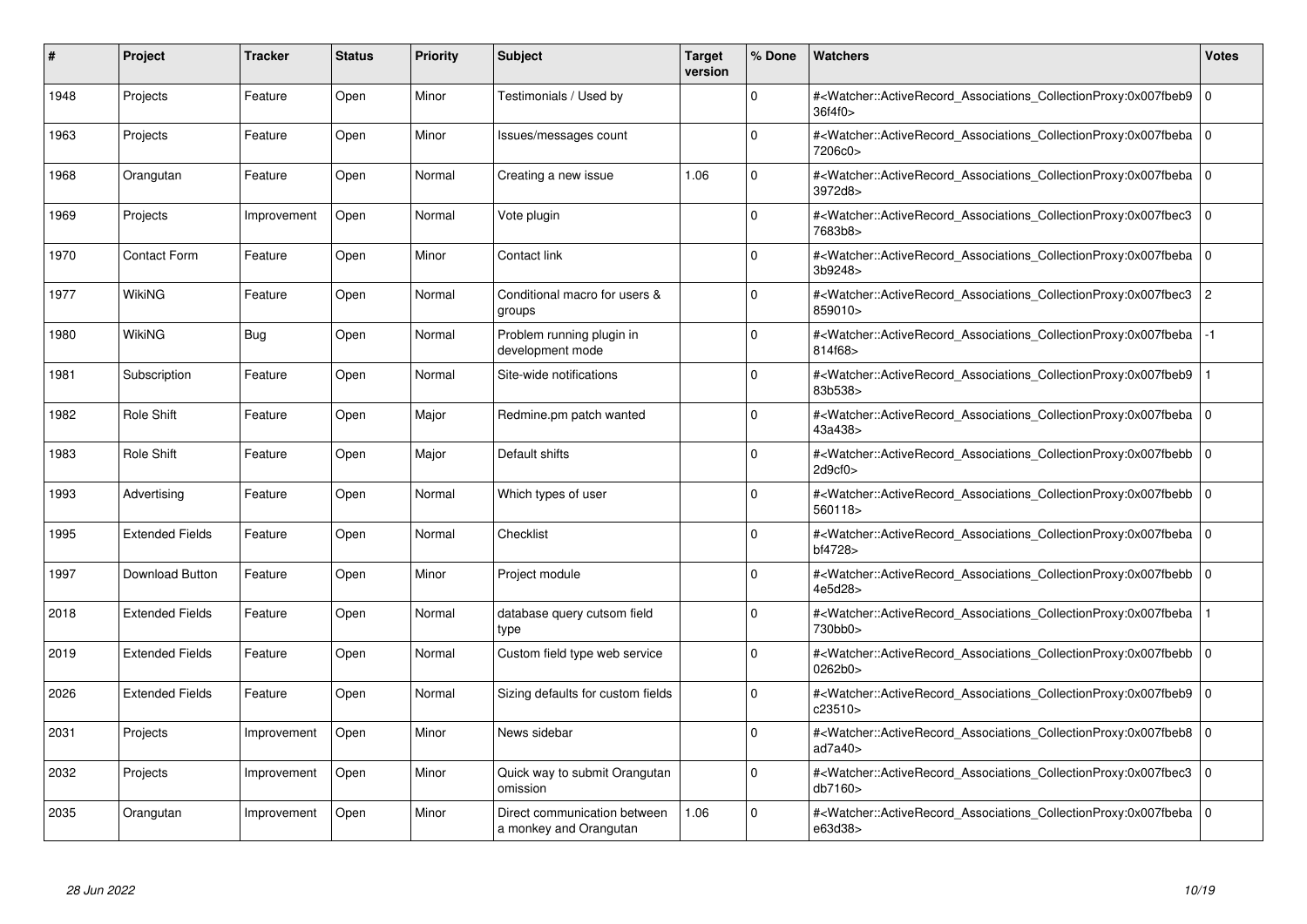| #    | Project                | <b>Tracker</b> | <b>Status</b> | <b>Priority</b> | <b>Subject</b>                                         | <b>Target</b><br>version | % Done      | <b>Watchers</b>                                                                                                                                              | <b>Votes</b>   |
|------|------------------------|----------------|---------------|-----------------|--------------------------------------------------------|--------------------------|-------------|--------------------------------------------------------------------------------------------------------------------------------------------------------------|----------------|
| 1948 | Projects               | Feature        | Open          | Minor           | Testimonials / Used by                                 |                          | $\Omega$    | # <watcher::activerecord associations="" collectionproxy:0x007fbeb9<br="">36f4f0&gt;</watcher::activerecord>                                                 | $\mathbf 0$    |
| 1963 | Projects               | Feature        | Open          | Minor           | Issues/messages count                                  |                          | $\Omega$    | # <watcher::activerecord_associations_collectionproxy:0x007fbeba 0<br=""  ="">7206c0&gt;</watcher::activerecord_associations_collectionproxy:0x007fbeba>     |                |
| 1968 | Orangutan              | Feature        | Open          | Normal          | Creating a new issue                                   | 1.06                     | $\Omega$    | # <watcher::activerecord associations="" collectionproxy:0x007fbeba<br="">3972d8&gt;</watcher::activerecord>                                                 | $\mathbf 0$    |
| 1969 | Projects               | Improvement    | Open          | Normal          | Vote plugin                                            |                          | $\Omega$    | # <watcher::activerecord associations="" collectionproxy:0x007fbec3=""  <br="">7683b8&gt;</watcher::activerecord>                                            | $\mathbf 0$    |
| 1970 | <b>Contact Form</b>    | Feature        | Open          | Minor           | Contact link                                           |                          | $\Omega$    | # <watcher::activerecord_associations_collectionproxy:0x007fbeba 0<br=""  ="">3b9248&gt;</watcher::activerecord_associations_collectionproxy:0x007fbeba>     |                |
| 1977 | WikiNG                 | Feature        | Open          | Normal          | Conditional macro for users &<br>groups                |                          | $\Omega$    | # <watcher::activerecord associations="" collectionproxy:0x007fbec3<br="">859010&gt;</watcher::activerecord>                                                 | $\overline{2}$ |
| 1980 | WikiNG                 | Bug            | Open          | Normal          | Problem running plugin in<br>development mode          |                          | $\Omega$    | # <watcher::activerecord_associations_collectionproxy:0x007fbeba<br>814f68&gt;</watcher::activerecord_associations_collectionproxy:0x007fbeba<br>            | $-1$           |
| 1981 | Subscription           | Feature        | Open          | Normal          | Site-wide notifications                                |                          | $\Omega$    | # <watcher::activerecord associations="" collectionproxy:0x007fbeb9<br="">83b538&gt;</watcher::activerecord>                                                 |                |
| 1982 | Role Shift             | Feature        | Open          | Major           | Redmine.pm patch wanted                                |                          | $\Omega$    | # <watcher::activerecord_associations_collectionproxy:0x007fbeba 0<br=""  ="">43a438&gt;</watcher::activerecord_associations_collectionproxy:0x007fbeba>     |                |
| 1983 | <b>Role Shift</b>      | Feature        | Open          | Major           | Default shifts                                         |                          | $\Omega$    | # <watcher::activerecord_associations_collectionproxy:0x007fbebb  <br="">2d9cf0</watcher::activerecord_associations_collectionproxy:0x007fbebb>              | $\Omega$       |
| 1993 | Advertising            | Feature        | Open          | Normal          | Which types of user                                    |                          | $\Omega$    | # <watcher::activerecord associations="" collectionproxy:0x007fbebb=""  <br="">560118&gt;</watcher::activerecord>                                            | $\mathbf 0$    |
| 1995 | <b>Extended Fields</b> | Feature        | Open          | Normal          | Checklist                                              |                          | $\Omega$    | # <watcher::activerecord_associations_collectionproxy:0x007fbeba 0<br=""  ="">bf4728&gt;</watcher::activerecord_associations_collectionproxy:0x007fbeba>     |                |
| 1997 | Download Button        | Feature        | Open          | Minor           | Project module                                         |                          | $\Omega$    | # <watcher::activerecord associations="" collectionproxy:0x007fbebb=""  <br="">4e5d28&gt;</watcher::activerecord>                                            | $\mathbf 0$    |
| 2018 | <b>Extended Fields</b> | Feature        | Open          | Normal          | database query cutsom field<br>type                    |                          | $\mathbf 0$ | # <watcher::activerecord_associations_collectionproxy:0x007fbeba<br>730bb0&gt;</watcher::activerecord_associations_collectionproxy:0x007fbeba<br>            |                |
| 2019 | <b>Extended Fields</b> | Feature        | Open          | Normal          | Custom field type web service                          |                          | $\Omega$    | # <watcher::activerecord_associations_collectionproxy:0x007fbebb  <br="">0262b0&gt;</watcher::activerecord_associations_collectionproxy:0x007fbebb>          | $\mathbf 0$    |
| 2026 | <b>Extended Fields</b> | Feature        | Open          | Normal          | Sizing defaults for custom fields                      |                          | $\Omega$    | # <watcher::activerecord associations="" collectionproxy:0x007fbeb9=""  <br="">c23510&gt;</watcher::activerecord>                                            | $\mathbf 0$    |
| 2031 | Projects               | Improvement    | Open          | Minor           | News sidebar                                           |                          | $\Omega$    | # <watcher::activerecord_associations_collectionproxy:0x007fbeb8  <br="">ad<math>7a40</math></watcher::activerecord_associations_collectionproxy:0x007fbeb8> | $\mathbf 0$    |
| 2032 | Projects               | Improvement    | Open          | Minor           | Quick way to submit Orangutan<br>omission              |                          | $\Omega$    | # <watcher::activerecord associations="" collectionproxy:0x007fbec3<br="">db7160&gt;</watcher::activerecord>                                                 | $\mathbf 0$    |
| 2035 | Orangutan              | Improvement    | Open          | Minor           | Direct communication between<br>a monkey and Orangutan | 1.06                     | $\Omega$    | # <watcher::activerecord associations="" collectionproxy:0x007fbeba=""  <br="">e63d38&gt;</watcher::activerecord>                                            | $\mathbf 0$    |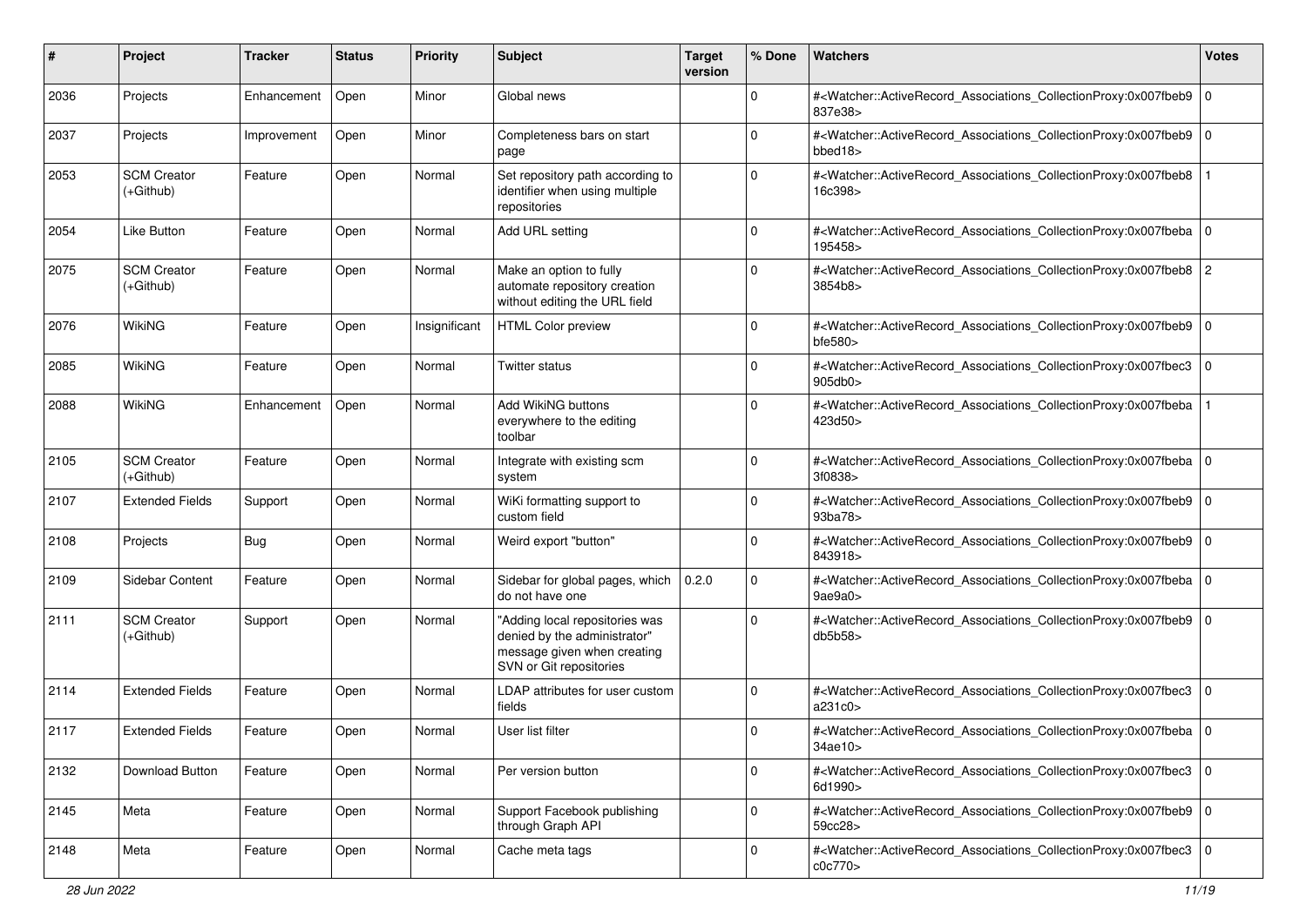| #    | Project                           | Tracker     | <b>Status</b> | <b>Priority</b> | <b>Subject</b>                                                                                                           | <b>Target</b><br>version | % Done      | Watchers                                                                                                                                                     | <b>Votes</b> |
|------|-----------------------------------|-------------|---------------|-----------------|--------------------------------------------------------------------------------------------------------------------------|--------------------------|-------------|--------------------------------------------------------------------------------------------------------------------------------------------------------------|--------------|
| 2036 | Projects                          | Enhancement | Open          | Minor           | Global news                                                                                                              |                          | $\mathbf 0$ | # <watcher::activerecord_associations_collectionproxy:0x007fbeb9<br>837e38&gt;</watcher::activerecord_associations_collectionproxy:0x007fbeb9<br>            | $\mathbf{0}$ |
| 2037 | Projects                          | Improvement | Open          | Minor           | Completeness bars on start<br>page                                                                                       |                          | $\Omega$    | # <watcher::activerecord_associations_collectionproxy:0x007fbeb9  <br="">bbed<math>18</math></watcher::activerecord_associations_collectionproxy:0x007fbeb9> | 0            |
| 2053 | <b>SCM Creator</b><br>$(+Github)$ | Feature     | Open          | Normal          | Set repository path according to<br>identifier when using multiple<br>repositories                                       |                          | $\Omega$    | # <watcher::activerecord_associations_collectionproxy:0x007fbeb8<br>16c398&gt;</watcher::activerecord_associations_collectionproxy:0x007fbeb8<br>            |              |
| 2054 | <b>Like Button</b>                | Feature     | Open          | Normal          | Add URL setting                                                                                                          |                          | 0           | # <watcher::activerecord_associations_collectionproxy:0x007fbeba 0<br=""  ="">195458&gt;</watcher::activerecord_associations_collectionproxy:0x007fbeba>     |              |
| 2075 | <b>SCM Creator</b><br>$(+Github)$ | Feature     | Open          | Normal          | Make an option to fully<br>automate repository creation<br>without editing the URL field                                 |                          | $\Omega$    | # <watcher::activerecord_associations_collectionproxy:0x007fbeb8 2<br="">3854b8&gt;</watcher::activerecord_associations_collectionproxy:0x007fbeb8>          |              |
| 2076 | <b>WikiNG</b>                     | Feature     | Open          | Insignificant   | <b>HTML Color preview</b>                                                                                                |                          | $\Omega$    | # <watcher::activerecord_associations_collectionproxy:0x007fbeb9  <br="">bfe580</watcher::activerecord_associations_collectionproxy:0x007fbeb9>              | $\mathbf 0$  |
| 2085 | <b>WikiNG</b>                     | Feature     | Open          | Normal          | Twitter status                                                                                                           |                          | 0           | # <watcher::activerecord_associations_collectionproxy:0x007fbec3 0<br="">905db0&gt;</watcher::activerecord_associations_collectionproxy:0x007fbec3>          |              |
| 2088 | WikiNG                            | Enhancement | Open          | Normal          | Add WikiNG buttons<br>everywhere to the editing<br>toolbar                                                               |                          | $\Omega$    | # <watcher::activerecord_associations_collectionproxy:0x007fbeba<br>423d50&gt;</watcher::activerecord_associations_collectionproxy:0x007fbeba<br>            |              |
| 2105 | <b>SCM Creator</b><br>(+Github)   | Feature     | Open          | Normal          | Integrate with existing scm<br>system                                                                                    |                          | $\Omega$    | # <watcher::activerecord_associations_collectionproxy:0x007fbeba 0<br=""  ="">3f0838&gt;</watcher::activerecord_associations_collectionproxy:0x007fbeba>     |              |
| 2107 | <b>Extended Fields</b>            | Support     | Open          | Normal          | WiKi formatting support to<br>custom field                                                                               |                          | 0           | # <watcher::activerecord_associations_collectionproxy:0x007fbeb9  <br="">93ba78&gt;</watcher::activerecord_associations_collectionproxy:0x007fbeb9>          | $\mathbf 0$  |
| 2108 | Projects                          | <b>Bug</b>  | Open          | Normal          | Weird export "button"                                                                                                    |                          | $\mathbf 0$ | # <watcher::activerecord_associations_collectionproxy:0x007fbeb9<br>843918&gt;</watcher::activerecord_associations_collectionproxy:0x007fbeb9<br>            | $\mathbf{0}$ |
| 2109 | Sidebar Content                   | Feature     | Open          | Normal          | Sidebar for global pages, which<br>do not have one                                                                       | 0.2.0                    | $\mathbf 0$ | # <watcher::activerecord_associations_collectionproxy:0x007fbeba 0<br=""  ="">9ae9a0</watcher::activerecord_associations_collectionproxy:0x007fbeba>         |              |
| 2111 | <b>SCM Creator</b><br>$(+Github)$ | Support     | Open          | Normal          | "Adding local repositories was<br>denied by the administrator"<br>message given when creating<br>SVN or Git repositories |                          | $\Omega$    | # <watcher::activerecord_associations_collectionproxy:0x007fbeb9<br>db5b58</watcher::activerecord_associations_collectionproxy:0x007fbeb9<br>                | 0            |
| 2114 | <b>Extended Fields</b>            | Feature     | Open          | Normal          | LDAP attributes for user custom<br>fields                                                                                |                          | 0           | # <watcher::activerecord_associations_collectionproxy:0x007fbec3<br>a231c0&gt;</watcher::activerecord_associations_collectionproxy:0x007fbec3<br>            | $\mathbf 0$  |
| 2117 | <b>Extended Fields</b>            | Feature     | Open          | Normal          | User list filter                                                                                                         |                          | 0           | # <watcher::activerecord_associations_collectionproxy:0x007fbeba 0<br=""  ="">34ae10&gt;</watcher::activerecord_associations_collectionproxy:0x007fbeba>     |              |
| 2132 | Download Button                   | Feature     | Open          | Normal          | Per version button                                                                                                       |                          | $\mathbf 0$ | # <watcher::activerecord_associations_collectionproxy:0x007fbec3 0<br=""  ="">6d1990&gt;</watcher::activerecord_associations_collectionproxy:0x007fbec3>     |              |
| 2145 | Meta                              | Feature     | Open          | Normal          | Support Facebook publishing<br>through Graph API                                                                         |                          | $\mathbf 0$ | # <watcher::activerecord_associations_collectionproxy:0x007fbeb9  <br="">59cc28&gt;</watcher::activerecord_associations_collectionproxy:0x007fbeb9>          | $\mathbf 0$  |
| 2148 | Meta                              | Feature     | Open          | Normal          | Cache meta tags                                                                                                          |                          | 0           | # <watcher::activerecord_associations_collectionproxy:0x007fbec3 0<br=""  ="">c0c770&gt;</watcher::activerecord_associations_collectionproxy:0x007fbec3>     |              |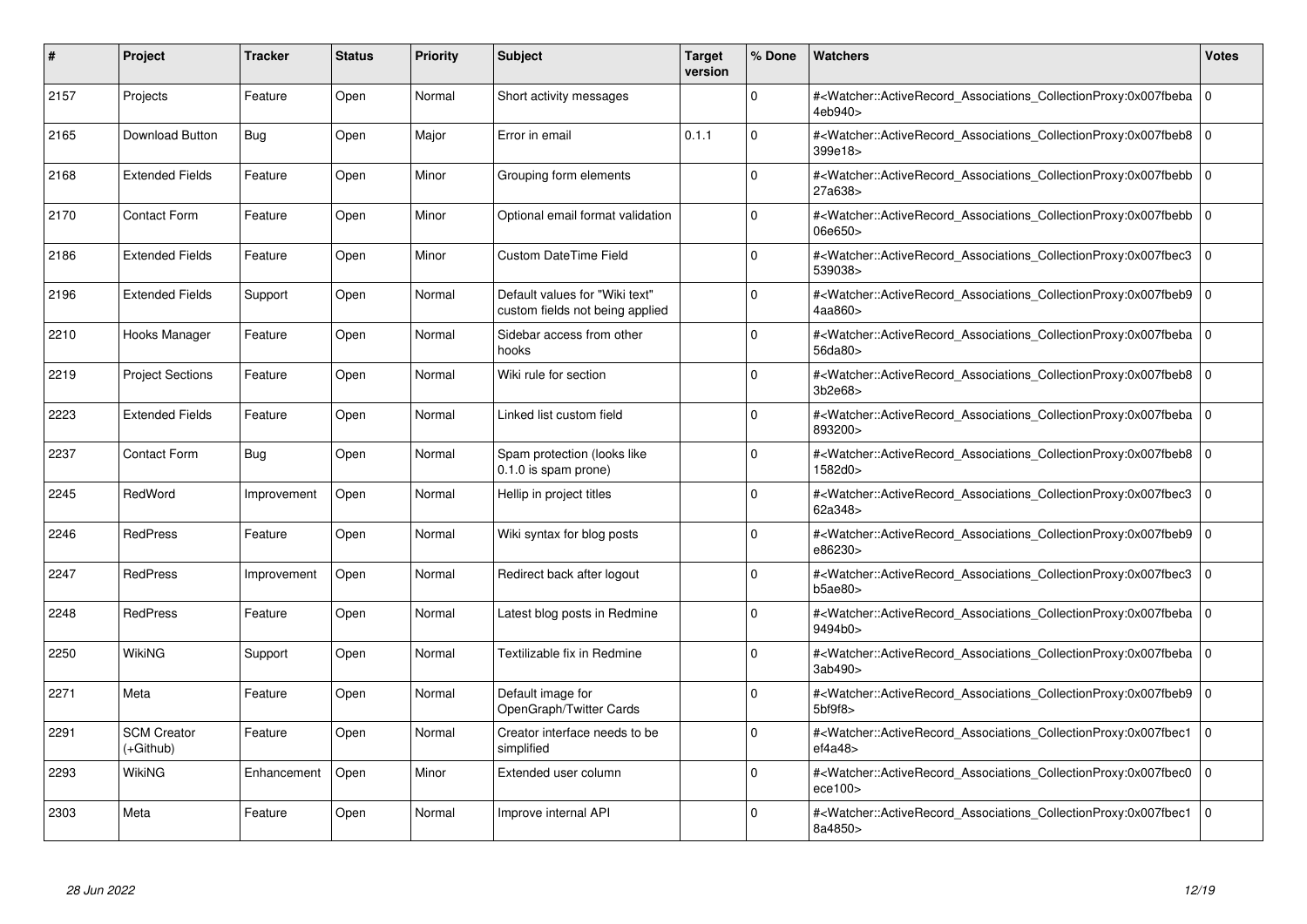| #    | Project                         | Tracker     | <b>Status</b> | <b>Priority</b> | <b>Subject</b>                                                    | <b>Target</b><br>version | % Done   | <b>Watchers</b>                                                                                                                                                | <b>Votes</b> |
|------|---------------------------------|-------------|---------------|-----------------|-------------------------------------------------------------------|--------------------------|----------|----------------------------------------------------------------------------------------------------------------------------------------------------------------|--------------|
| 2157 | Projects                        | Feature     | Open          | Normal          | Short activity messages                                           |                          | $\Omega$ | # <watcher::activerecord associations="" collectionproxy:0x007fbeba<br="">4eb940&gt;</watcher::activerecord>                                                   | $\mathbf 0$  |
| 2165 | Download Button                 | <b>Bug</b>  | Open          | Major           | Error in email                                                    | 0.1.1                    | $\Omega$ | # <watcher::activerecord 0<br="" associations="" collectionproxy:0x007fbeb8=""  ="">399e18&gt;</watcher::activerecord>                                         |              |
| 2168 | <b>Extended Fields</b>          | Feature     | Open          | Minor           | Grouping form elements                                            |                          | $\Omega$ | # <watcher::activerecord_associations_collectionproxy:0x007fbebb<br>27a638&gt;</watcher::activerecord_associations_collectionproxy:0x007fbebb<br>              | $\Omega$     |
| 2170 | Contact Form                    | Feature     | Open          | Minor           | Optional email format validation                                  |                          | $\Omega$ | # <watcher::activerecord_associations_collectionproxy:0x007fbebb 0<br="">06e650&gt;</watcher::activerecord_associations_collectionproxy:0x007fbebb>            |              |
| 2186 | <b>Extended Fields</b>          | Feature     | Open          | Minor           | <b>Custom DateTime Field</b>                                      |                          | $\Omega$ | # <watcher::activerecord_associations_collectionproxy:0x007fbec3<br>539038&gt;</watcher::activerecord_associations_collectionproxy:0x007fbec3<br>              | $\mathbf 0$  |
| 2196 | <b>Extended Fields</b>          | Support     | Open          | Normal          | Default values for "Wiki text"<br>custom fields not being applied |                          | $\Omega$ | # <watcher::activerecord_associations_collectionproxy:0x007fbeb9  <br="">4aa860&gt;</watcher::activerecord_associations_collectionproxy:0x007fbeb9>            | $\Omega$     |
| 2210 | Hooks Manager                   | Feature     | Open          | Normal          | Sidebar access from other<br>hooks                                |                          | $\Omega$ | # <watcher::activerecord associations="" collectionproxy:0x007fbeba<br="">56da80&gt;</watcher::activerecord>                                                   | $\mathbf 0$  |
| 2219 | <b>Project Sections</b>         | Feature     | Open          | Normal          | Wiki rule for section                                             |                          | $\Omega$ | # <watcher::activerecord_associations_collectionproxy:0x007fbeb8 0<br=""  ="">3b2e68&gt;</watcher::activerecord_associations_collectionproxy:0x007fbeb8>       |              |
| 2223 | <b>Extended Fields</b>          | Feature     | Open          | Normal          | Linked list custom field                                          |                          | $\Omega$ | # <watcher::activerecord 0<br="" associations="" collectionproxy:0x007fbeba=""  ="">893200&gt;</watcher::activerecord>                                         |              |
| 2237 | <b>Contact Form</b>             | Bug         | Open          | Normal          | Spam protection (looks like<br>0.1.0 is spam prone)               |                          | $\Omega$ | # <watcher::activerecord associations="" collectionproxy:0x007fbeb8=""  <br="">1582d0&gt;</watcher::activerecord>                                              | $\mathbf 0$  |
| 2245 | RedWord                         | Improvement | Open          | Normal          | Hellip in project titles                                          |                          | $\Omega$ | # <watcher::activerecord_associations_collectionproxy:0x007fbec3<br>62a348&gt;</watcher::activerecord_associations_collectionproxy:0x007fbec3<br>              | $\Omega$     |
| 2246 | <b>RedPress</b>                 | Feature     | Open          | Normal          | Wiki syntax for blog posts                                        |                          | $\Omega$ | # <watcher::activerecord associations="" collectionproxy:0x007fbeb9=""  <br="">e86230&gt;</watcher::activerecord>                                              | $\mathbf 0$  |
| 2247 | <b>RedPress</b>                 | Improvement | Open          | Normal          | Redirect back after logout                                        |                          | $\Omega$ | # <watcher::activerecord associations="" collectionproxy:0x007fbec3<br="">b5ae80&gt;</watcher::activerecord>                                                   | $\mathbf 0$  |
| 2248 | <b>RedPress</b>                 | Feature     | Open          | Normal          | Latest blog posts in Redmine                                      |                          | $\Omega$ | # <watcher::activerecord_associations_collectionproxy:0x007fbeba 0<br=""  ="">9494b0&gt;</watcher::activerecord_associations_collectionproxy:0x007fbeba>       |              |
| 2250 | WikiNG                          | Support     | Open          | Normal          | Textilizable fix in Redmine                                       |                          | $\Omega$ | # <watcher::activerecord 0<br="" associations="" collectionproxy:0x007fbeba=""  ="">3ab490&gt;</watcher::activerecord>                                         |              |
| 2271 | Meta                            | Feature     | Open          | Normal          | Default image for<br>OpenGraph/Twitter Cards                      |                          | $\Omega$ | # <watcher::activerecord_associations_collectionproxy:0x007fbeb9  <br="">5<sub>b</sub>f9f8&gt;</watcher::activerecord_associations_collectionproxy:0x007fbeb9> | $\mathbf 0$  |
| 2291 | <b>SCM Creator</b><br>(+Github) | Feature     | Open          | Normal          | Creator interface needs to be<br>simplified                       |                          | $\Omega$ | # <watcher::activerecord associations="" collectionproxy:0x007fbec1<br="">ef4a48&gt;</watcher::activerecord>                                                   | $\Omega$     |
| 2293 | WikiNG                          | Enhancement | Open          | Minor           | Extended user column                                              |                          | $\Omega$ | # <watcher::activerecord associations="" collectionproxy:0x007fbec0<br="">ece100</watcher::activerecord>                                                       | $\mathbf{0}$ |
| 2303 | Meta                            | Feature     | Open          | Normal          | Improve internal API                                              |                          | $\Omega$ | # <watcher::activerecord associations="" collectionproxy:0x007fbec1<br="">8a4850&gt;</watcher::activerecord>                                                   | $\Omega$     |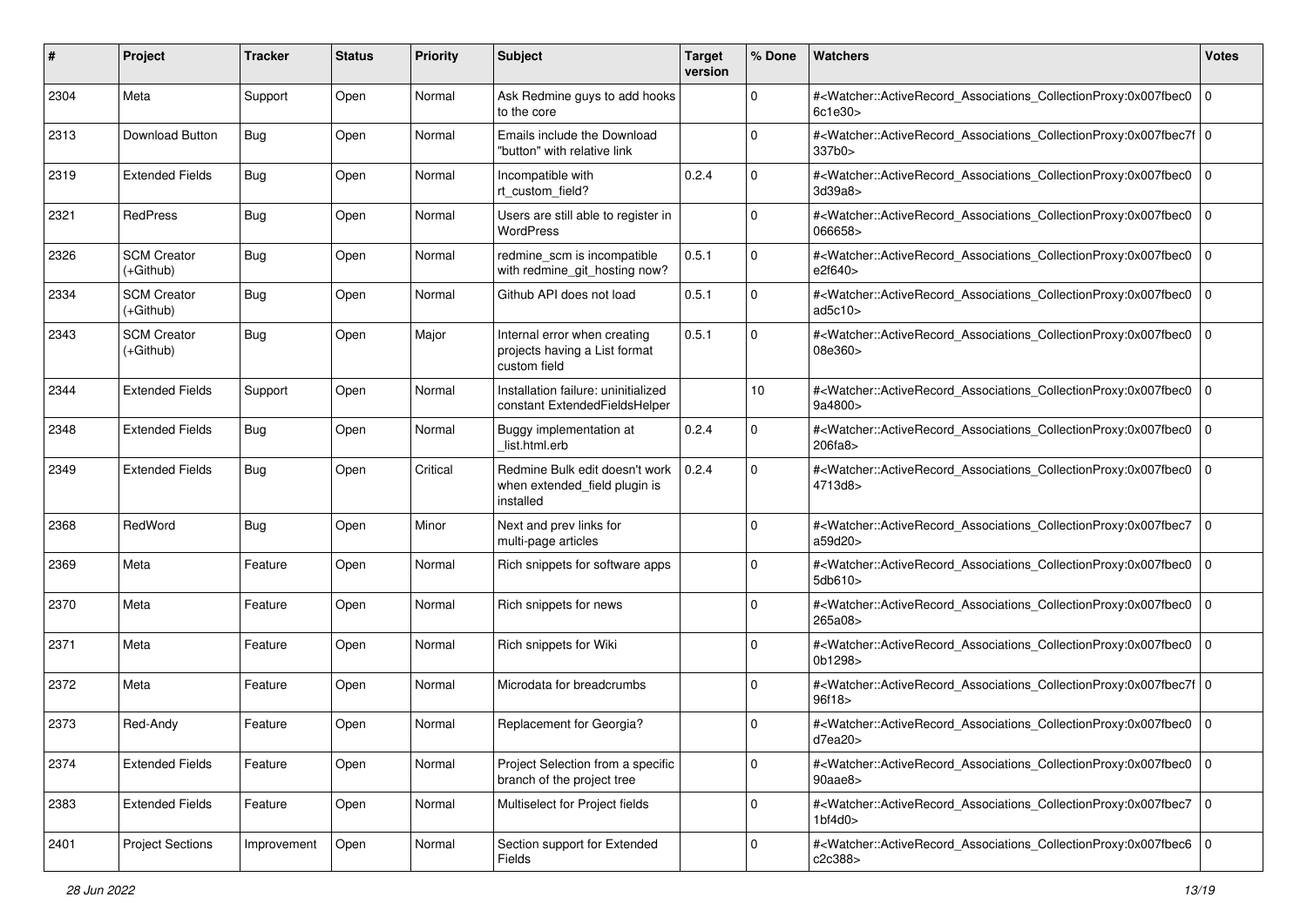| #    | Project                         | <b>Tracker</b> | <b>Status</b> | <b>Priority</b> | <b>Subject</b>                                                                | <b>Target</b><br>version | % Done      | <b>Watchers</b>                                                                                                                                                  | <b>Votes</b> |
|------|---------------------------------|----------------|---------------|-----------------|-------------------------------------------------------------------------------|--------------------------|-------------|------------------------------------------------------------------------------------------------------------------------------------------------------------------|--------------|
| 2304 | Meta                            | Support        | Open          | Normal          | Ask Redmine guys to add hooks<br>to the core                                  |                          | $\mathbf 0$ | # <watcher::activerecord_associations_collectionproxy:0x007fbec0<br>6c1e30</watcher::activerecord_associations_collectionproxy:0x007fbec0<br>                    | 0            |
| 2313 | Download Button                 | <b>Bug</b>     | Open          | Normal          | Emails include the Download<br>"button" with relative link                    |                          | $\Omega$    | # <watcher::activerecord_associations_collectionproxy:0x007fbec7f 0<br="">337b0&gt;</watcher::activerecord_associations_collectionproxy:0x007fbec7f>             |              |
| 2319 | <b>Extended Fields</b>          | <b>Bug</b>     | Open          | Normal          | Incompatible with<br>rt custom field?                                         | 0.2.4                    | $\Omega$    | # <watcher::activerecord_associations_collectionproxy:0x007fbec0<br>3d39a8&gt;</watcher::activerecord_associations_collectionproxy:0x007fbec0<br>                | l O          |
| 2321 | RedPress                        | <b>Bug</b>     | Open          | Normal          | Users are still able to register in<br><b>WordPress</b>                       |                          | $\mathbf 0$ | # <watcher::activerecord associations="" collectionproxy:0x007fbec0<br="">066658&gt;</watcher::activerecord>                                                     | l 0          |
| 2326 | <b>SCM Creator</b><br>(+Github) | Bug            | Open          | Normal          | redmine_scm is incompatible<br>with redmine_git_hosting now?                  | 0.5.1                    | $\Omega$    | # <watcher::activerecord_associations_collectionproxy:0x007fbec0<br>e2f640&gt;</watcher::activerecord_associations_collectionproxy:0x007fbec0<br>                | 0            |
| 2334 | <b>SCM Creator</b><br>(+Github) | <b>Bug</b>     | Open          | Normal          | Github API does not load                                                      | 0.5.1                    | $\mathbf 0$ | # <watcher::activerecord_associations_collectionproxy:0x007fbec0<br>ad5c10&gt;</watcher::activerecord_associations_collectionproxy:0x007fbec0<br>                | l 0          |
| 2343 | <b>SCM Creator</b><br>(+Github) | <b>Bug</b>     | Open          | Major           | Internal error when creating<br>projects having a List format<br>custom field | 0.5.1                    | $\Omega$    | # <watcher::activerecord associations="" collectionproxy:0x007fbec0<br="">08e360&gt;</watcher::activerecord>                                                     | 0            |
| 2344 | <b>Extended Fields</b>          | Support        | Open          | Normal          | Installation failure: uninitialized<br>constant ExtendedFieldsHelper          |                          | 10          | # <watcher::activerecord_associations_collectionproxy:0x007fbec0<br>9a4800&gt;</watcher::activerecord_associations_collectionproxy:0x007fbec0<br>                | 0            |
| 2348 | <b>Extended Fields</b>          | <b>Bug</b>     | Open          | Normal          | Buggy implementation at<br>list.html.erb                                      | 0.2.4                    | $\mathbf 0$ | # <watcher::activerecord_associations_collectionproxy:0x007fbec0<br>206fa8</watcher::activerecord_associations_collectionproxy:0x007fbec0<br>                    | l 0          |
| 2349 | <b>Extended Fields</b>          | <b>Bug</b>     | Open          | Critical        | Redmine Bulk edit doesn't work<br>when extended_field plugin is<br>installed  | 0.2.4                    | $\Omega$    | # <watcher::activerecord_associations_collectionproxy:0x007fbec0<br>4713d8&gt;</watcher::activerecord_associations_collectionproxy:0x007fbec0<br>                | 0            |
| 2368 | RedWord                         | <b>Bug</b>     | Open          | Minor           | Next and prev links for<br>multi-page articles                                |                          | $\Omega$    | # <watcher::activerecord_associations_collectionproxy:0x007fbec7<br>a59d20&gt;</watcher::activerecord_associations_collectionproxy:0x007fbec7<br>                | 0            |
| 2369 | Meta                            | Feature        | Open          | Normal          | Rich snippets for software apps                                               |                          | $\Omega$    | # <watcher::activerecord_associations_collectionproxy:0x007fbec0<br>5db610&gt;</watcher::activerecord_associations_collectionproxy:0x007fbec0<br>                | 0            |
| 2370 | Meta                            | Feature        | Open          | Normal          | Rich snippets for news                                                        |                          | $\Omega$    | # <watcher::activerecord_associations_collectionproxy:0x007fbec0<br>265a08&gt;</watcher::activerecord_associations_collectionproxy:0x007fbec0<br>                | 0            |
| 2371 | Meta                            | Feature        | Open          | Normal          | Rich snippets for Wiki                                                        |                          | $\mathbf 0$ | # <watcher::activerecord_associations_collectionproxy:0x007fbec0 0<br="">0b1298&gt;</watcher::activerecord_associations_collectionproxy:0x007fbec0>              |              |
| 2372 | Meta                            | Feature        | Open          | Normal          | Microdata for breadcrumbs                                                     |                          | 0           | # <watcher::activerecord_associations_collectionproxy:0x007fbec7f 0<br=""  ="">96f18&gt;</watcher::activerecord_associations_collectionproxy:0x007fbec7f>        |              |
| 2373 | Red-Andy                        | Feature        | Open          | Normal          | Replacement for Georgia?                                                      |                          | 0           | # <watcher::activerecord_associations_collectionproxy:0x007fbec0 0<br=""  ="">d7ea20&gt;</watcher::activerecord_associations_collectionproxy:0x007fbec0>         |              |
| 2374 | <b>Extended Fields</b>          | Feature        | Open          | Normal          | Project Selection from a specific<br>branch of the project tree               |                          | 0           | # <watcher::activerecord_associations_collectionproxy:0x007fbec0 0<br=""  ="">90aae8</watcher::activerecord_associations_collectionproxy:0x007fbec0>             |              |
| 2383 | <b>Extended Fields</b>          | Feature        | Open          | Normal          | Multiselect for Project fields                                                |                          | 0           | # <watcher::activerecord_associations_collectionproxy:0x007fbec7 0<br=""><math>1b</math>f4d0&gt;</watcher::activerecord_associations_collectionproxy:0x007fbec7> |              |
| 2401 | <b>Project Sections</b>         | Improvement    | Open          | Normal          | Section support for Extended<br>Fields                                        |                          | 0           | # <watcher::activerecord_associations_collectionproxy:0x007fbec6 0<br="">c2c388&gt;</watcher::activerecord_associations_collectionproxy:0x007fbec6>              |              |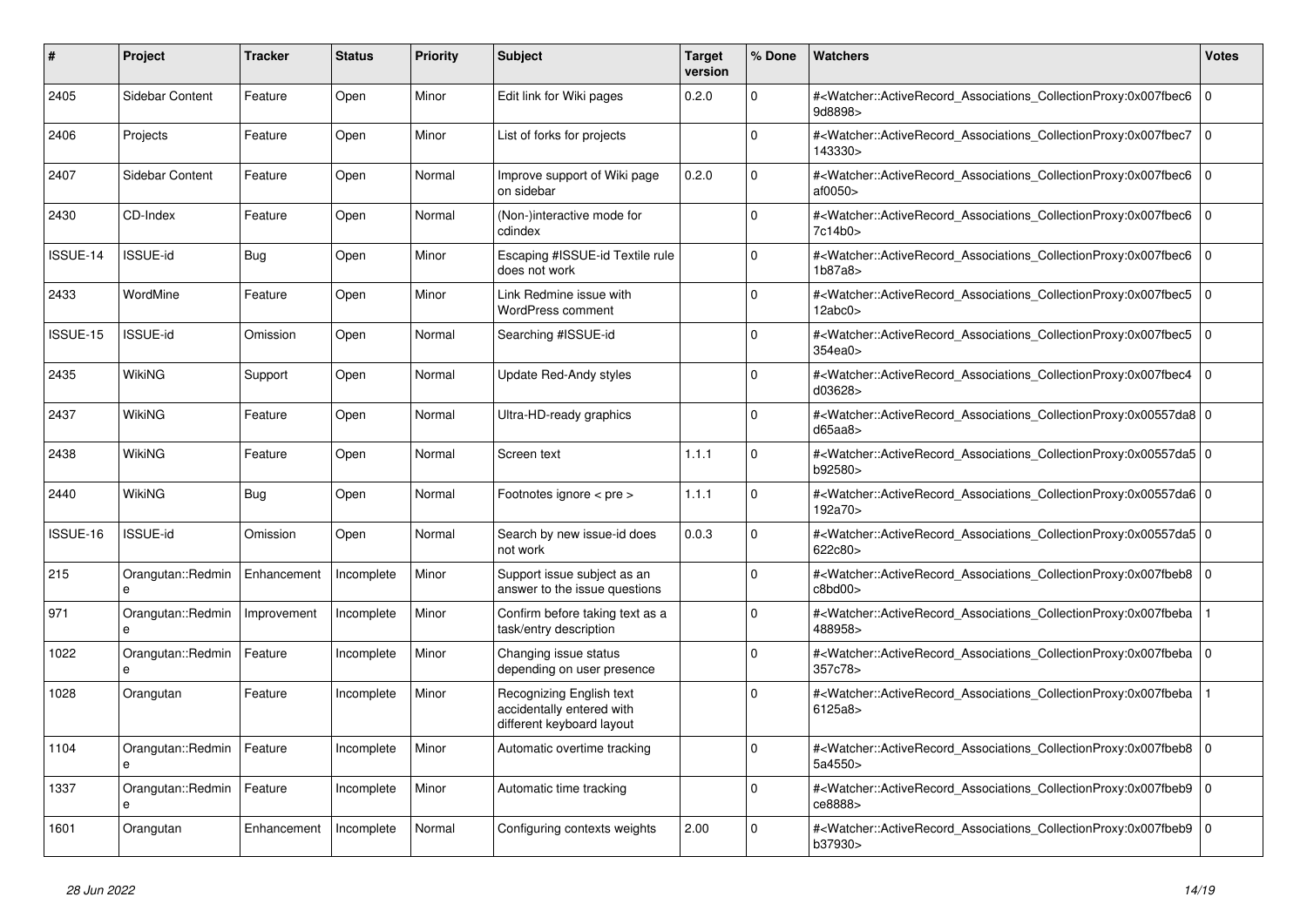| #        | <b>Project</b>                    | Tracker     | <b>Status</b> | <b>Priority</b> | <b>Subject</b>                                                                     | <b>Target</b><br>version | % Done       | <b>Watchers</b>                                                                                                                                          | <b>Votes</b>   |
|----------|-----------------------------------|-------------|---------------|-----------------|------------------------------------------------------------------------------------|--------------------------|--------------|----------------------------------------------------------------------------------------------------------------------------------------------------------|----------------|
| 2405     | Sidebar Content                   | Feature     | Open          | Minor           | Edit link for Wiki pages                                                           | 0.2.0                    | $\Omega$     | # <watcher::activerecord_associations_collectionproxy:0x007fbec6<br>9d8898&gt;</watcher::activerecord_associations_collectionproxy:0x007fbec6<br>        | $\overline{0}$ |
| 2406     | Projects                          | Feature     | Open          | Minor           | List of forks for projects                                                         |                          | $\mathbf{0}$ | # <watcher::activerecord_associations_collectionproxy:0x007fbec7<br>143330&gt;</watcher::activerecord_associations_collectionproxy:0x007fbec7<br>        | $\overline{0}$ |
| 2407     | Sidebar Content                   | Feature     | Open          | Normal          | Improve support of Wiki page<br>on sidebar                                         | 0.2.0                    | $\Omega$     | # <watcher::activerecord associations="" collectionproxy:0x007fbec6<br="">af0050&gt;</watcher::activerecord>                                             | l o            |
| 2430     | CD-Index                          | Feature     | Open          | Normal          | (Non-)interactive mode for<br>cdindex                                              |                          | $\Omega$     | # <watcher::activerecord_associations_collectionproxy:0x007fbec6<br>7c14b0&gt;</watcher::activerecord_associations_collectionproxy:0x007fbec6<br>        | $\Omega$       |
| ISSUE-14 | <b>ISSUE-id</b>                   | <b>Bug</b>  | Open          | Minor           | Escaping #ISSUE-id Textile rule<br>does not work                                   |                          | $\Omega$     | # <watcher::activerecord_associations_collectionproxy:0x007fbec6<br>1b87a8&gt;</watcher::activerecord_associations_collectionproxy:0x007fbec6<br>        | I٥             |
| 2433     | WordMine                          | Feature     | Open          | Minor           | Link Redmine issue with<br>WordPress comment                                       |                          | $\Omega$     | # <watcher::activerecord associations="" collectionproxy:0x007fbec5<br="">12abc0</watcher::activerecord>                                                 | $\overline{0}$ |
| ISSUE-15 | <b>ISSUE-id</b>                   | Omission    | Open          | Normal          | Searching #ISSUE-id                                                                |                          | $\Omega$     | # <watcher::activerecord associations="" collectionproxy:0x007fbec5<br="">354ea0&gt;</watcher::activerecord>                                             | $\Omega$       |
| 2435     | WikiNG                            | Support     | Open          | Normal          | Update Red-Andy styles                                                             |                          | $\Omega$     | # <watcher::activerecord_associations_collectionproxy:0x007fbec4<br>d03628&gt;</watcher::activerecord_associations_collectionproxy:0x007fbec4<br>        | l o            |
| 2437     | WikiNG                            | Feature     | Open          | Normal          | Ultra-HD-ready graphics                                                            |                          | $\Omega$     | # <watcher::activerecord_associations_collectionproxy:0x00557da8 0<br=""  ="">d65aa8</watcher::activerecord_associations_collectionproxy:0x00557da8>     |                |
| 2438     | <b>WikiNG</b>                     | Feature     | Open          | Normal          | Screen text                                                                        | 1.1.1                    | $\Omega$     | # <watcher::activerecord_associations_collectionproxy:0x00557da5 0<br=""  ="">b92580&gt;</watcher::activerecord_associations_collectionproxy:0x00557da5> |                |
| 2440     | WikiNG                            | Bug         | Open          | Normal          | Footnotes ignore < pre >                                                           | 1.1.1                    | $\Omega$     | # <watcher::activerecord_associations_collectionproxy:0x00557da6 0<br=""  ="">192a70&gt;</watcher::activerecord_associations_collectionproxy:0x00557da6> |                |
| ISSUE-16 | <b>ISSUE-id</b>                   | Omission    | Open          | Normal          | Search by new issue-id does<br>not work                                            | 0.0.3                    | $\Omega$     | # <watcher::activerecord 0<br="" associations="" collectionproxy:0x00557da5=""  ="">622c80&gt;</watcher::activerecord>                                   |                |
| 215      | Orangutan::Redmin<br>e            | Enhancement | Incomplete    | Minor           | Support issue subject as an<br>answer to the issue questions                       |                          | $\Omega$     | # <watcher::activerecord associations="" collectionproxy:0x007fbeb8<br="">c8bd00&gt;</watcher::activerecord>                                             | $\overline{0}$ |
| 971      | Orangutan::Redmin<br>$\mathbf{a}$ | Improvement | Incomplete    | Minor           | Confirm before taking text as a<br>task/entry description                          |                          | $\Omega$     | # <watcher::activerecord associations="" collectionproxy:0x007fbeba<br="">488958&gt;</watcher::activerecord>                                             | $\mathbf 1$    |
| 1022     | Orangutan::Redmin<br>e            | Feature     | Incomplete    | Minor           | Changing issue status<br>depending on user presence                                |                          | $\Omega$     | # <watcher::activerecord associations="" collectionproxy:0x007fbeba<br="">357c78&gt;</watcher::activerecord>                                             | $\mathbf 0$    |
| 1028     | Orangutan                         | Feature     | Incomplete    | Minor           | Recognizing English text<br>accidentally entered with<br>different keyboard layout |                          | $\Omega$     | # <watcher::activerecord_associations_collectionproxy:0x007fbeba<br>6125a8&gt;</watcher::activerecord_associations_collectionproxy:0x007fbeba<br>        |                |
| 1104     | Orangutan::Redmin<br>$\mathbf{a}$ | Feature     | Incomplete    | Minor           | Automatic overtime tracking                                                        |                          | $\Omega$     | # <watcher::activerecord 0<br="" associations="" collectionproxy:0x007fbeb8="">5a4550&gt;</watcher::activerecord>                                        |                |
| 1337     | Orangutan::Redmin<br>$\mathbf{a}$ | Feature     | Incomplete    | Minor           | Automatic time tracking                                                            |                          | $\Omega$     | # <watcher::activerecord associations="" collectionproxy:0x007fbeb9<br="">ce8888&gt;</watcher::activerecord>                                             | $\Omega$       |
| 1601     | Orangutan                         | Enhancement | Incomplete    | Normal          | Configuring contexts weights                                                       | 2.00                     | $\Omega$     | # <watcher::activerecord_associations_collectionproxy:0x007fbeb9 0<br=""  ="">b37930&gt;</watcher::activerecord_associations_collectionproxy:0x007fbeb9> |                |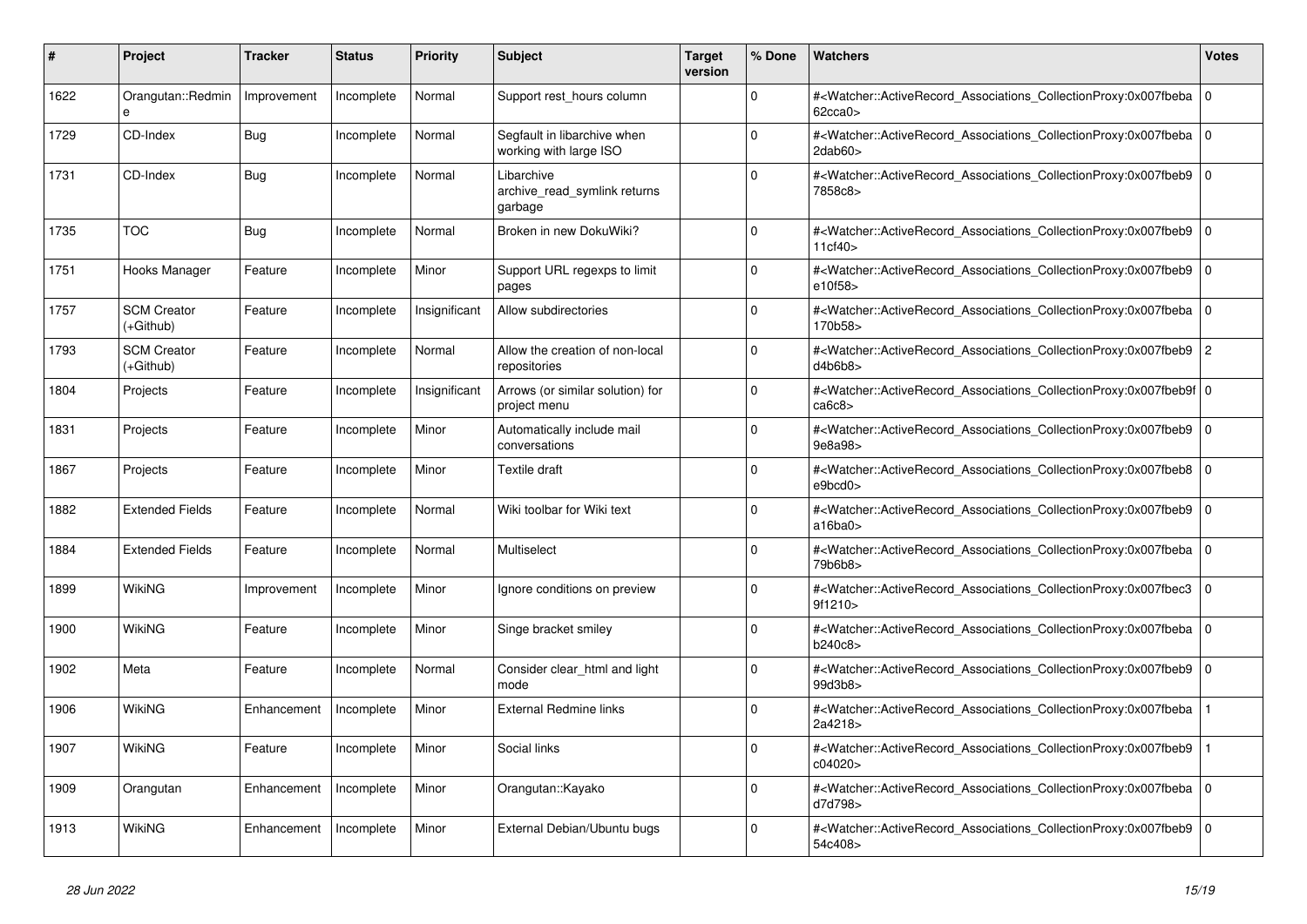| #    | <b>Project</b>                  | Tracker     | <b>Status</b> | <b>Priority</b> | <b>Subject</b>                                        | <b>Target</b><br>version | % Done      | <b>Watchers</b>                                                                                                                                          | <b>Votes</b>   |
|------|---------------------------------|-------------|---------------|-----------------|-------------------------------------------------------|--------------------------|-------------|----------------------------------------------------------------------------------------------------------------------------------------------------------|----------------|
| 1622 | Orangutan::Redmin<br>e          | Improvement | Incomplete    | Normal          | Support rest hours column                             |                          | $\Omega$    | # <watcher::activerecord_associations_collectionproxy:0x007fbeba<br>62cca0</watcher::activerecord_associations_collectionproxy:0x007fbeba<br>            | $\mathbf 0$    |
| 1729 | CD-Index                        | Bug         | Incomplete    | Normal          | Segfault in libarchive when<br>working with large ISO |                          | $\Omega$    | # <watcher::activerecord_associations_collectionproxy:0x007fbeba<br>2dab60&gt;</watcher::activerecord_associations_collectionproxy:0x007fbeba<br>        | $\overline{0}$ |
| 1731 | CD-Index                        | <b>Bug</b>  | Incomplete    | Normal          | Libarchive<br>archive read symlink returns<br>garbage |                          | $\Omega$    | # <watcher::activerecord_associations_collectionproxy:0x007fbeb9 0<br=""  ="">7858c8&gt;</watcher::activerecord_associations_collectionproxy:0x007fbeb9> |                |
| 1735 | <b>TOC</b>                      | Bug         | Incomplete    | Normal          | Broken in new DokuWiki?                               |                          | $\Omega$    | # <watcher::activerecord_associations_collectionproxy:0x007fbeb9 0<br=""  ="">11cf40&gt;</watcher::activerecord_associations_collectionproxy:0x007fbeb9> |                |
| 1751 | Hooks Manager                   | Feature     | Incomplete    | Minor           | Support URL regexps to limit<br>pages                 |                          | $\Omega$    | # <watcher::activerecord associations="" collectionproxy:0x007fbeb9<br="">e10f58&gt;</watcher::activerecord>                                             | $\Omega$       |
| 1757 | <b>SCM Creator</b><br>(+Github) | Feature     | Incomplete    | Insignificant   | Allow subdirectories                                  |                          | $\Omega$    | # <watcher::activerecord_associations_collectionproxy:0x007fbeba 0<br=""  ="">170b58&gt;</watcher::activerecord_associations_collectionproxy:0x007fbeba> |                |
| 1793 | <b>SCM Creator</b><br>(+Github) | Feature     | Incomplete    | Normal          | Allow the creation of non-local<br>repositories       |                          | $\Omega$    | # <watcher::activerecord_associations_collectionproxy:0x007fbeb9<br>d4b6b8</watcher::activerecord_associations_collectionproxy:0x007fbeb9<br>            | $\overline{2}$ |
| 1804 | Projects                        | Feature     | Incomplete    | Insignificant   | Arrows (or similar solution) for<br>project menu      |                          | $\Omega$    | # <watcher::activerecord_associations_collectionproxy:0x007fbeb9f 0<br=""  ="">ca6c8</watcher::activerecord_associations_collectionproxy:0x007fbeb9f>    |                |
| 1831 | Projects                        | Feature     | Incomplete    | Minor           | Automatically include mail<br>conversations           |                          | $\Omega$    | # <watcher::activerecord_associations_collectionproxy:0x007fbeb9 0<br=""  ="">9e8a98&gt;</watcher::activerecord_associations_collectionproxy:0x007fbeb9> |                |
| 1867 | Projects                        | Feature     | Incomplete    | Minor           | Textile draft                                         |                          | $\Omega$    | # <watcher::activerecord_associations_collectionproxy:0x007fbeb8<br>e9bcd0&gt;</watcher::activerecord_associations_collectionproxy:0x007fbeb8<br>        | $\overline{0}$ |
| 1882 | <b>Extended Fields</b>          | Feature     | Incomplete    | Normal          | Wiki toolbar for Wiki text                            |                          | $\Omega$    | # <watcher::activerecord associations="" collectionproxy:0x007fbeb9<br="">a16ba0&gt;</watcher::activerecord>                                             | $\overline{0}$ |
| 1884 | <b>Extended Fields</b>          | Feature     | Incomplete    | Normal          | Multiselect                                           |                          | $\Omega$    | # <watcher::activerecord 0<br="" associations="" collectionproxy:0x007fbeba=""  ="">79b6b8&gt;</watcher::activerecord>                                   |                |
| 1899 | WikiNG                          | Improvement | Incomplete    | Minor           | Ignore conditions on preview                          |                          | $\Omega$    | # <watcher::activerecord_associations_collectionproxy:0x007fbec3<br>9f1210&gt;</watcher::activerecord_associations_collectionproxy:0x007fbec3<br>        | $\Omega$       |
| 1900 | WikiNG                          | Feature     | Incomplete    | Minor           | Singe bracket smiley                                  |                          | $\Omega$    | # <watcher::activerecord_associations_collectionproxy:0x007fbeba 0<br="">b240c8&gt;</watcher::activerecord_associations_collectionproxy:0x007fbeba>      |                |
| 1902 | Meta                            | Feature     | Incomplete    | Normal          | Consider clear html and light<br>mode                 |                          | $\mathbf 0$ | # <watcher::activerecord_associations_collectionproxy:0x007fbeb9 0<br="">99d3b8&gt;</watcher::activerecord_associations_collectionproxy:0x007fbeb9>      |                |
| 1906 | WikiNG                          | Enhancement | Incomplete    | Minor           | <b>External Redmine links</b>                         |                          | $\Omega$    | # <watcher::activerecord_associations_collectionproxy:0x007fbeba<br>2a4218&gt;</watcher::activerecord_associations_collectionproxy:0x007fbeba<br>        |                |
| 1907 | WikiNG                          | Feature     | Incomplete    | Minor           | Social links                                          |                          | $\Omega$    | # <watcher::activerecord associations="" collectionproxy:0x007fbeb9<br="">c04020&gt;</watcher::activerecord>                                             |                |
| 1909 | Orangutan                       | Enhancement | Incomplete    | Minor           | Orangutan::Kayako                                     |                          | $\Omega$    | # <watcher::activerecord_associations_collectionproxy:0x007fbeba<br>d7d798&gt;</watcher::activerecord_associations_collectionproxy:0x007fbeba<br>        | $\mathbf 0$    |
| 1913 | WikiNG                          | Enhancement | Incomplete    | Minor           | External Debian/Ubuntu bugs                           |                          | $\Omega$    | # <watcher::activerecord_associations_collectionproxy:0x007fbeb9<br>54c408&gt;</watcher::activerecord_associations_collectionproxy:0x007fbeb9<br>        | $\Omega$       |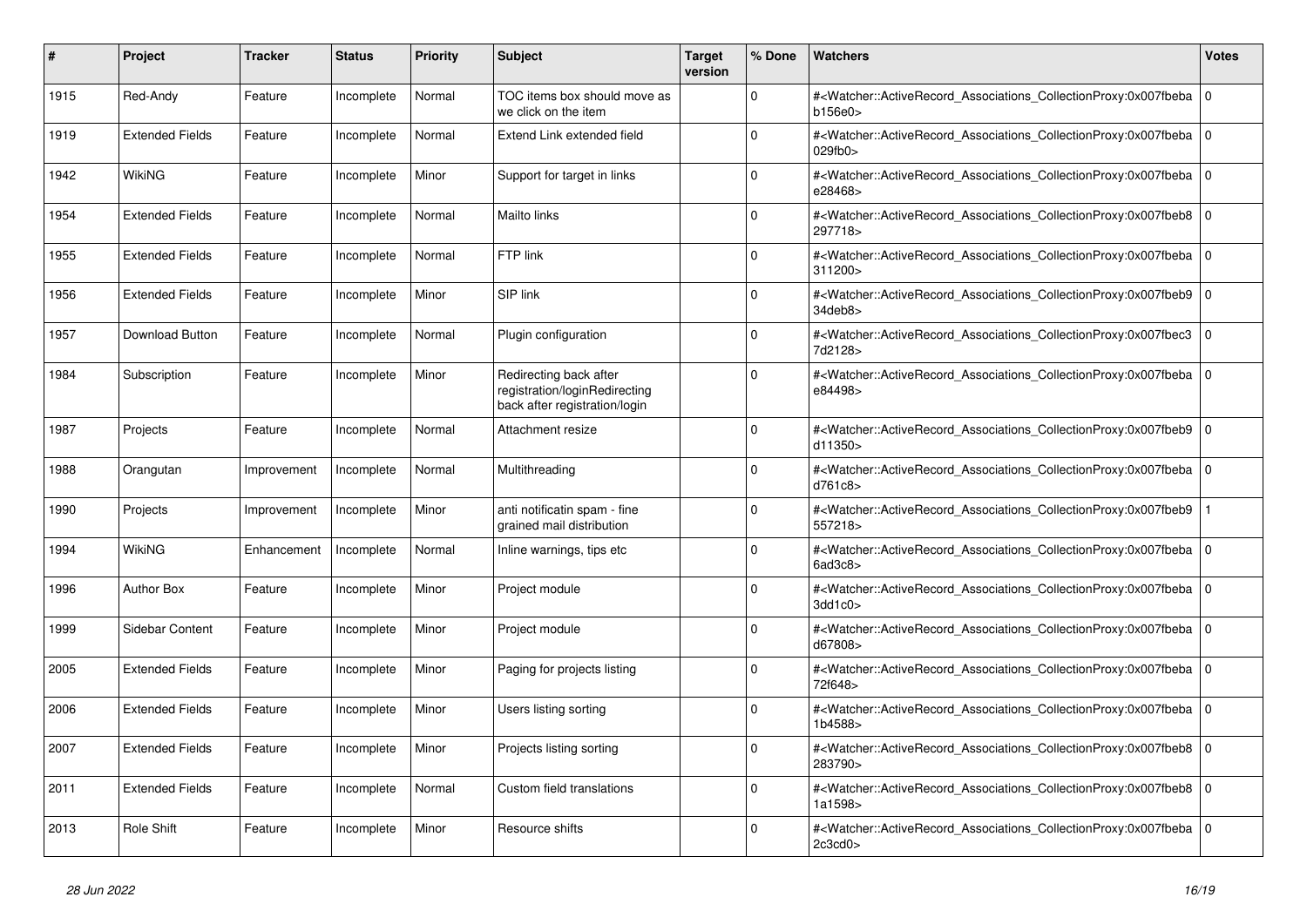| #    | Project                | <b>Tracker</b> | <b>Status</b> | <b>Priority</b> | <b>Subject</b>                                                                           | <b>Target</b><br>version | % Done   | <b>Watchers</b>                                                                                                                                          | <b>Votes</b> |
|------|------------------------|----------------|---------------|-----------------|------------------------------------------------------------------------------------------|--------------------------|----------|----------------------------------------------------------------------------------------------------------------------------------------------------------|--------------|
| 1915 | Red-Andy               | Feature        | Incomplete    | Normal          | TOC items box should move as<br>we click on the item                                     |                          | $\Omega$ | # <watcher::activerecord_associations_collectionproxy:0x007fbeba  <br="">b156e0&gt;</watcher::activerecord_associations_collectionproxy:0x007fbeba>      | $\mathbf 0$  |
| 1919 | <b>Extended Fields</b> | Feature        | Incomplete    | Normal          | Extend Link extended field                                                               |                          | $\Omega$ | # <watcher::activerecord associations="" collectionproxy:0x007fbeba<br="">029fb0</watcher::activerecord>                                                 | $\mathbf{0}$ |
| 1942 | WikiNG                 | Feature        | Incomplete    | Minor           | Support for target in links                                                              |                          | $\Omega$ | # <watcher::activerecord_associations_collectionproxy:0x007fbeba 0<br=""  ="">e28468&gt;</watcher::activerecord_associations_collectionproxy:0x007fbeba> |              |
| 1954 | <b>Extended Fields</b> | Feature        | Incomplete    | Normal          | Mailto links                                                                             |                          | $\Omega$ | # <watcher::activerecord_associations_collectionproxy:0x007fbeb8<br>297718&gt;</watcher::activerecord_associations_collectionproxy:0x007fbeb8<br>        | $\Omega$     |
| 1955 | <b>Extended Fields</b> | Feature        | Incomplete    | Normal          | FTP link                                                                                 |                          | $\Omega$ | # <watcher::activerecord_associations_collectionproxy:0x007fbeba  <br="">311200&gt;</watcher::activerecord_associations_collectionproxy:0x007fbeba>      | $\mathbf 0$  |
| 1956 | <b>Extended Fields</b> | Feature        | Incomplete    | Minor           | SIP link                                                                                 |                          | $\Omega$ | # <watcher::activerecord associations="" collectionproxy:0x007fbeb9=""  <br="">34deb8&gt;</watcher::activerecord>                                        | $\mathbf 0$  |
| 1957 | Download Button        | Feature        | Incomplete    | Normal          | Plugin configuration                                                                     |                          | $\Omega$ | # <watcher::activerecord associations="" collectionproxy:0x007fbec3<br="">7d2128&gt;</watcher::activerecord>                                             | $\Omega$     |
| 1984 | Subscription           | Feature        | Incomplete    | Minor           | Redirecting back after<br>registration/loginRedirecting<br>back after registration/login |                          | $\Omega$ | # <watcher::activerecord_associations_collectionproxy:0x007fbeba 0<br=""  ="">e84498&gt;</watcher::activerecord_associations_collectionproxy:0x007fbeba> |              |
| 1987 | Projects               | Feature        | Incomplete    | Normal          | Attachment resize                                                                        |                          | $\Omega$ | # <watcher::activerecord_associations_collectionproxy:0x007fbeb9  <br="">d11350&gt;</watcher::activerecord_associations_collectionproxy:0x007fbeb9>      | $\mathbf 0$  |
| 1988 | Orangutan              | Improvement    | Incomplete    | Normal          | Multithreading                                                                           |                          | $\Omega$ | # <watcher::activerecord_associations_collectionproxy:0x007fbeba<br>d761c8</watcher::activerecord_associations_collectionproxy:0x007fbeba<br>            | $\Omega$     |
| 1990 | Projects               | Improvement    | Incomplete    | Minor           | anti notificatin spam - fine<br>grained mail distribution                                |                          | $\Omega$ | # <watcher::activerecord associations="" collectionproxy:0x007fbeb9<br="">557218&gt;</watcher::activerecord>                                             |              |
| 1994 | <b>WikiNG</b>          | Enhancement    | Incomplete    | Normal          | Inline warnings, tips etc                                                                |                          | $\Omega$ | # <watcher::activerecord associations="" collectionproxy:0x007fbeba<br=""><math>6</math>ad<math>3c8</math></watcher::activerecord>                       | $\mathbf 0$  |
| 1996 | <b>Author Box</b>      | Feature        | Incomplete    | Minor           | Project module                                                                           |                          | $\Omega$ | # <watcher::activerecord_associations_collectionproxy:0x007fbeba  <br="">3dd1c0</watcher::activerecord_associations_collectionproxy:0x007fbeba>          | $\mathbf 0$  |
| 1999 | Sidebar Content        | Feature        | Incomplete    | Minor           | Project module                                                                           |                          | $\Omega$ | # <watcher::activerecord_associations_collectionproxy:0x007fbeba 0<br=""  ="">d67808&gt;</watcher::activerecord_associations_collectionproxy:0x007fbeba> |              |
| 2005 | <b>Extended Fields</b> | Feature        | Incomplete    | Minor           | Paging for projects listing                                                              |                          | $\Omega$ | # <watcher::activerecord associations="" collectionproxy:0x007fbeba<br="">72f648&gt;</watcher::activerecord>                                             | $\mathbf 0$  |
| 2006 | <b>Extended Fields</b> | Feature        | Incomplete    | Minor           | Users listing sorting                                                                    |                          | $\Omega$ | # <watcher::activerecord_associations_collectionproxy:0x007fbeba  <br="">1b4588&gt;</watcher::activerecord_associations_collectionproxy:0x007fbeba>      | $\mathbf 0$  |
| 2007 | <b>Extended Fields</b> | Feature        | Incomplete    | Minor           | Projects listing sorting                                                                 |                          | $\Omega$ | # <watcher::activerecord_associations_collectionproxy:0x007fbeb8 0<br=""  ="">283790&gt;</watcher::activerecord_associations_collectionproxy:0x007fbeb8> |              |
| 2011 | <b>Extended Fields</b> | Feature        | Incomplete    | Normal          | Custom field translations                                                                |                          | $\Omega$ | # <watcher::activerecord associations="" collectionproxy:0x007fbeb8<br="">1a1598&gt;</watcher::activerecord>                                             | $\mathbf 0$  |
| 2013 | <b>Role Shift</b>      | Feature        | Incomplete    | Minor           | Resource shifts                                                                          |                          | $\Omega$ | # <watcher::activerecord_associations_collectionproxy:0x007fbeba 0<br=""  ="">2c3cd0</watcher::activerecord_associations_collectionproxy:0x007fbeba>     |              |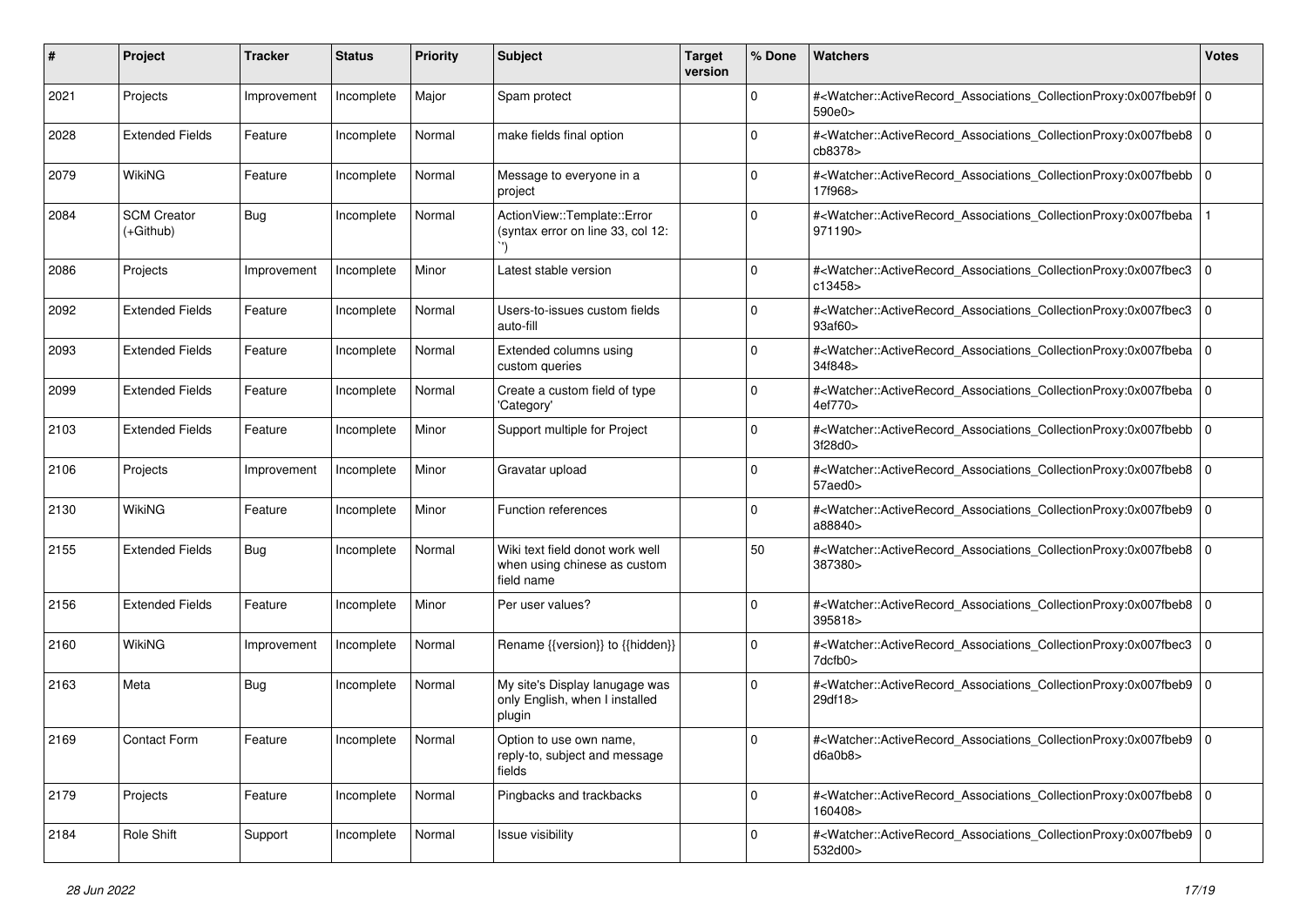| #    | Project                           | Tracker     | <b>Status</b>       | <b>Priority</b> | <b>Subject</b>                                                                | <b>Target</b><br>version | % Done      | Watchers                                                                                                                                                 | <b>Votes</b> |
|------|-----------------------------------|-------------|---------------------|-----------------|-------------------------------------------------------------------------------|--------------------------|-------------|----------------------------------------------------------------------------------------------------------------------------------------------------------|--------------|
| 2021 | Projects                          | Improvement | Incomplete          | Major           | Spam protect                                                                  |                          | $\mathbf 0$ | # <watcher::activerecord_associations_collectionproxy:0x007fbeb9f 0<br="">590e0&gt;</watcher::activerecord_associations_collectionproxy:0x007fbeb9f>     |              |
| 2028 | <b>Extended Fields</b>            | Feature     | Incomplete          | Normal          | make fields final option                                                      |                          | $\Omega$    | # <watcher::activerecord_associations_collectionproxy:0x007fbeb8 0<br="">cb8378&gt;</watcher::activerecord_associations_collectionproxy:0x007fbeb8>      |              |
| 2079 | <b>WikiNG</b>                     | Feature     | Incomplete          | Normal          | Message to everyone in a<br>project                                           |                          | $\Omega$    | # <watcher::activerecord_associations_collectionproxy:0x007fbebb 0<br=""  ="">17f968&gt;</watcher::activerecord_associations_collectionproxy:0x007fbebb> |              |
| 2084 | <b>SCM Creator</b><br>$(+Github)$ | <b>Bug</b>  | Incomplete          | Normal          | ActionView::Template::Error<br>(syntax error on line 33, col 12:              |                          | $\Omega$    | # <watcher::activerecord_associations_collectionproxy:0x007fbeba<br>971190&gt;</watcher::activerecord_associations_collectionproxy:0x007fbeba<br>        |              |
| 2086 | Projects                          | Improvement | Incomplete          | Minor           | Latest stable version                                                         |                          | 0           | # <watcher::activerecord_associations_collectionproxy:0x007fbec3<br>c13458&gt;</watcher::activerecord_associations_collectionproxy:0x007fbec3<br>        | $\mathbf 0$  |
| 2092 | <b>Extended Fields</b>            | Feature     | Incomplete          | Normal          | Users-to-issues custom fields<br>auto-fill                                    |                          | $\Omega$    | # <watcher::activerecord_associations_collectionproxy:0x007fbec3<br>93af60&gt;</watcher::activerecord_associations_collectionproxy:0x007fbec3<br>        | $\mathbf{0}$ |
| 2093 | <b>Extended Fields</b>            | Feature     | Incomplete          | Normal          | Extended columns using<br>custom queries                                      |                          | $\Omega$    | # <watcher::activerecord_associations_collectionproxy:0x007fbeba 0<br=""  ="">34f848&gt;</watcher::activerecord_associations_collectionproxy:0x007fbeba> |              |
| 2099 | <b>Extended Fields</b>            | Feature     | Incomplete          | Normal          | Create a custom field of type<br>'Category'                                   |                          | $\Omega$    | # <watcher::activerecord_associations_collectionproxy:0x007fbeba 0<br="">4ef770&gt;</watcher::activerecord_associations_collectionproxy:0x007fbeba>      |              |
| 2103 | <b>Extended Fields</b>            | Feature     | Incomplete          | Minor           | Support multiple for Project                                                  |                          | $\mathbf 0$ | # <watcher::activerecord_associations_collectionproxy:0x007fbebb  <br="">3f28d0</watcher::activerecord_associations_collectionproxy:0x007fbebb>          | $\mathbf 0$  |
| 2106 | Projects                          | Improvement | Incomplete          | Minor           | Gravatar upload                                                               |                          | $\Omega$    | # <watcher::activerecord_associations_collectionproxy:0x007fbeb8 0<br="">57aed0&gt;</watcher::activerecord_associations_collectionproxy:0x007fbeb8>      |              |
| 2130 | <b>WikiNG</b>                     | Feature     | Incomplete          | Minor           | Function references                                                           |                          | 0           | # <watcher::activerecord_associations_collectionproxy:0x007fbeb9 0<br="">a88840&gt;</watcher::activerecord_associations_collectionproxy:0x007fbeb9>      |              |
| 2155 | <b>Extended Fields</b>            | <b>Bug</b>  | Incomplete          | Normal          | Wiki text field donot work well<br>when using chinese as custom<br>field name |                          | 50          | # <watcher::activerecord_associations_collectionproxy:0x007fbeb8 0<br=""  ="">387380&gt;</watcher::activerecord_associations_collectionproxy:0x007fbeb8> |              |
| 2156 | <b>Extended Fields</b>            | Feature     | Incomplete          | Minor           | Per user values?                                                              |                          | $\Omega$    | # <watcher::activerecord_associations_collectionproxy:0x007fbeb8 0<br=""  ="">395818&gt;</watcher::activerecord_associations_collectionproxy:0x007fbeb8> |              |
| 2160 | <b>WikiNG</b>                     | Improvement | Incomplete          | Normal          | Rename {{version}} to {{hidden}}                                              |                          | $\Omega$    | # <watcher::activerecord_associations_collectionproxy:0x007fbec3 0<br="">7dcfb0&gt;</watcher::activerecord_associations_collectionproxy:0x007fbec3>      |              |
| 2163 | Meta                              | <b>Bug</b>  | Incomplete          | Normal          | My site's Display lanugage was<br>only English, when I installed<br>plugin    |                          | $\Omega$    | # <watcher::activerecord_associations_collectionproxy:0x007fbeb9  <br="">29df18&gt;</watcher::activerecord_associations_collectionproxy:0x007fbeb9>      | 0            |
| 2169 | Contact Form                      | Feature     | Incomplete   Normal |                 | Option to use own name,<br>reply-to, subject and message<br>fields            |                          |             | # <watcher::activerecord_associations_collectionproxy:0x007fbeb9 0<br=""  ="">d6a0b8</watcher::activerecord_associations_collectionproxy:0x007fbeb9>     |              |
| 2179 | Projects                          | Feature     | Incomplete          | Normal          | Pingbacks and trackbacks                                                      |                          | $\mathbf 0$ | # <watcher::activerecord_associations_collectionproxy:0x007fbeb8 0<br="">160408&gt;</watcher::activerecord_associations_collectionproxy:0x007fbeb8>      |              |
| 2184 | Role Shift                        | Support     | Incomplete          | Normal          | Issue visibility                                                              |                          | $\Omega$    | # <watcher::activerecord_associations_collectionproxy:0x007fbeb9 0<br=""  ="">532d00&gt;</watcher::activerecord_associations_collectionproxy:0x007fbeb9> |              |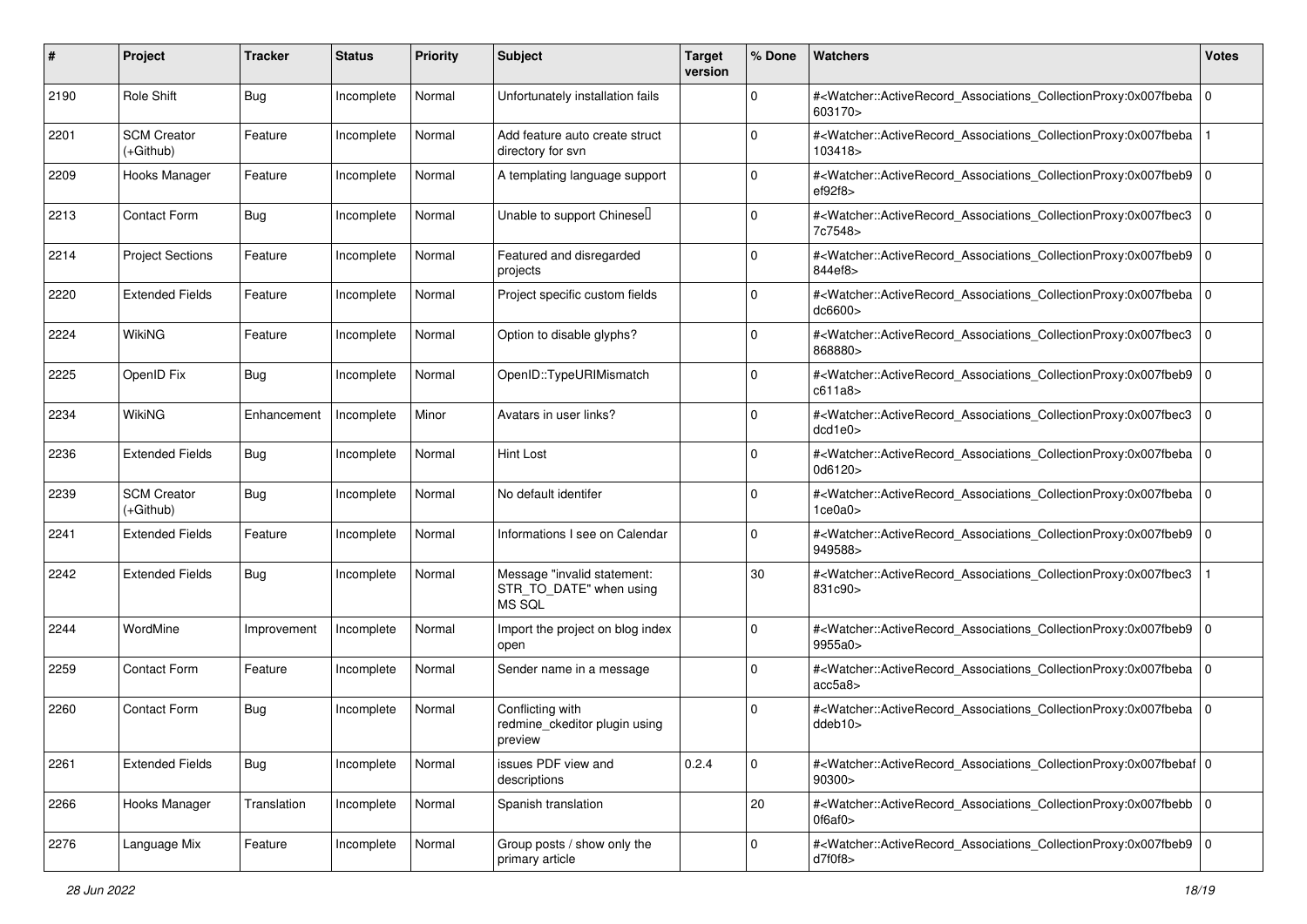| #    | Project                         | <b>Tracker</b> | <b>Status</b> | <b>Priority</b> | <b>Subject</b>                                                          | <b>Target</b><br>version | % Done      | Watchers                                                                                                                                                 | <b>Votes</b> |
|------|---------------------------------|----------------|---------------|-----------------|-------------------------------------------------------------------------|--------------------------|-------------|----------------------------------------------------------------------------------------------------------------------------------------------------------|--------------|
| 2190 | Role Shift                      | <b>Bug</b>     | Incomplete    | Normal          | Unfortunately installation fails                                        |                          | $\mathbf 0$ | # <watcher::activerecord_associations_collectionproxy:0x007fbeba 0<br="">603170&gt;</watcher::activerecord_associations_collectionproxy:0x007fbeba>      |              |
| 2201 | <b>SCM Creator</b><br>(+Github) | Feature        | Incomplete    | Normal          | Add feature auto create struct<br>directory for svn                     |                          | $\Omega$    | # <watcher::activerecord_associations_collectionproxy:0x007fbeba<br>103418&gt;</watcher::activerecord_associations_collectionproxy:0x007fbeba<br>        |              |
| 2209 | Hooks Manager                   | Feature        | Incomplete    | Normal          | A templating language support                                           |                          | $\Omega$    | # <watcher::activerecord_associations_collectionproxy:0x007fbeb9  <br="">ef92f8</watcher::activerecord_associations_collectionproxy:0x007fbeb9>          | $\mathbf 0$  |
| 2213 | <b>Contact Form</b>             | <b>Bug</b>     | Incomplete    | Normal          | Unable to support Chinesel                                              |                          | $\mathbf 0$ | # <watcher::activerecord_associations_collectionproxy:0x007fbec3<br>7c7548&gt;</watcher::activerecord_associations_collectionproxy:0x007fbec3<br>        | $\mathbf 0$  |
| 2214 | <b>Project Sections</b>         | Feature        | Incomplete    | Normal          | Featured and disregarded<br>projects                                    |                          | $\Omega$    | # <watcher::activerecord_associations_collectionproxy:0x007fbeb9 0<br="">844ef8&gt;</watcher::activerecord_associations_collectionproxy:0x007fbeb9>      |              |
| 2220 | <b>Extended Fields</b>          | Feature        | Incomplete    | Normal          | Project specific custom fields                                          |                          | $\Omega$    | # <watcher::activerecord_associations_collectionproxy:0x007fbeba  <br="">dc6600&gt;</watcher::activerecord_associations_collectionproxy:0x007fbeba>      | $\mathbf 0$  |
| 2224 | WikiNG                          | Feature        | Incomplete    | Normal          | Option to disable glyphs?                                               |                          | $\Omega$    | # <watcher::activerecord_associations_collectionproxy:0x007fbec3<br>868880&gt;</watcher::activerecord_associations_collectionproxy:0x007fbec3<br>        | $\mathbf 0$  |
| 2225 | OpenID Fix                      | Bug            | Incomplete    | Normal          | OpenID::TypeURIMismatch                                                 |                          | $\mathbf 0$ | # <watcher::activerecord_associations_collectionproxy:0x007fbeb9  <br="">c611a8</watcher::activerecord_associations_collectionproxy:0x007fbeb9>          | $\mathbf 0$  |
| 2234 | WikiNG                          | Enhancement    | Incomplete    | Minor           | Avatars in user links?                                                  |                          | $\Omega$    | # <watcher::activerecord_associations_collectionproxy:0x007fbec3<br>dcd1e0</watcher::activerecord_associations_collectionproxy:0x007fbec3<br>            | 0            |
| 2236 | <b>Extended Fields</b>          | <b>Bug</b>     | Incomplete    | Normal          | Hint Lost                                                               |                          | $\Omega$    | # <watcher::activerecord_associations_collectionproxy:0x007fbeba 0<br=""  ="">0d6120&gt;</watcher::activerecord_associations_collectionproxy:0x007fbeba> |              |
| 2239 | <b>SCM Creator</b><br>(+Github) | <b>Bug</b>     | Incomplete    | Normal          | No default identifer                                                    |                          | $\Omega$    | # <watcher::activerecord_associations_collectionproxy:0x007fbeba  <br="">1ce0a0&gt;</watcher::activerecord_associations_collectionproxy:0x007fbeba>      | $\mathbf 0$  |
| 2241 | <b>Extended Fields</b>          | Feature        | Incomplete    | Normal          | Informations I see on Calendar                                          |                          | $\Omega$    | # <watcher::activerecord_associations_collectionproxy:0x007fbeb9 0<br="">949588&gt;</watcher::activerecord_associations_collectionproxy:0x007fbeb9>      |              |
| 2242 | <b>Extended Fields</b>          | <b>Bug</b>     | Incomplete    | Normal          | Message "invalid statement:<br>STR_TO_DATE" when using<br><b>MS SQL</b> |                          | 30          | # <watcher::activerecord_associations_collectionproxy:0x007fbec3<br>831c90&gt;</watcher::activerecord_associations_collectionproxy:0x007fbec3<br>        |              |
| 2244 | WordMine                        | Improvement    | Incomplete    | Normal          | Import the project on blog index<br>open                                |                          | $\Omega$    | # <watcher::activerecord_associations_collectionproxy:0x007fbeb9<br>9955a0&gt;</watcher::activerecord_associations_collectionproxy:0x007fbeb9<br>        | 0            |
| 2259 | <b>Contact Form</b>             | Feature        | Incomplete    | Normal          | Sender name in a message                                                |                          | $\Omega$    | # <watcher::activerecord_associations_collectionproxy:0x007fbeba 0<br=""  ="">acc5a8</watcher::activerecord_associations_collectionproxy:0x007fbeba>     |              |
| 2260 | <b>Contact Form</b>             | <b>Bug</b>     | Incomplete    | Normal          | Conflicting with<br>redmine_ckeditor plugin using<br>preview            |                          | $\Omega$    | # <watcher::activerecord_associations_collectionproxy:0x007fbeba  <br="">ddeb10</watcher::activerecord_associations_collectionproxy:0x007fbeba>          | $\mathbf 0$  |
| 2261 | <b>Extended Fields</b>          | Bug            | Incomplete    | Normal          | issues PDF view and<br>descriptions                                     | 0.2.4                    | 0           | # <watcher::activerecord 0<br="" associations="" collectionproxy:0x007fbebaf="">90300&gt;</watcher::activerecord>                                        |              |
| 2266 | Hooks Manager                   | Translation    | Incomplete    | Normal          | Spanish translation                                                     |                          | 20          | # <watcher::activerecord_associations_collectionproxy:0x007fbebb 0<br="">0f6af0&gt;</watcher::activerecord_associations_collectionproxy:0x007fbebb>      |              |
| 2276 | Language Mix                    | Feature        | Incomplete    | Normal          | Group posts / show only the<br>primary article                          |                          | $\mathbf 0$ | # <watcher::activerecord 0<br="" associations="" collectionproxy:0x007fbeb9="">d7f0f8</watcher::activerecord>                                            |              |